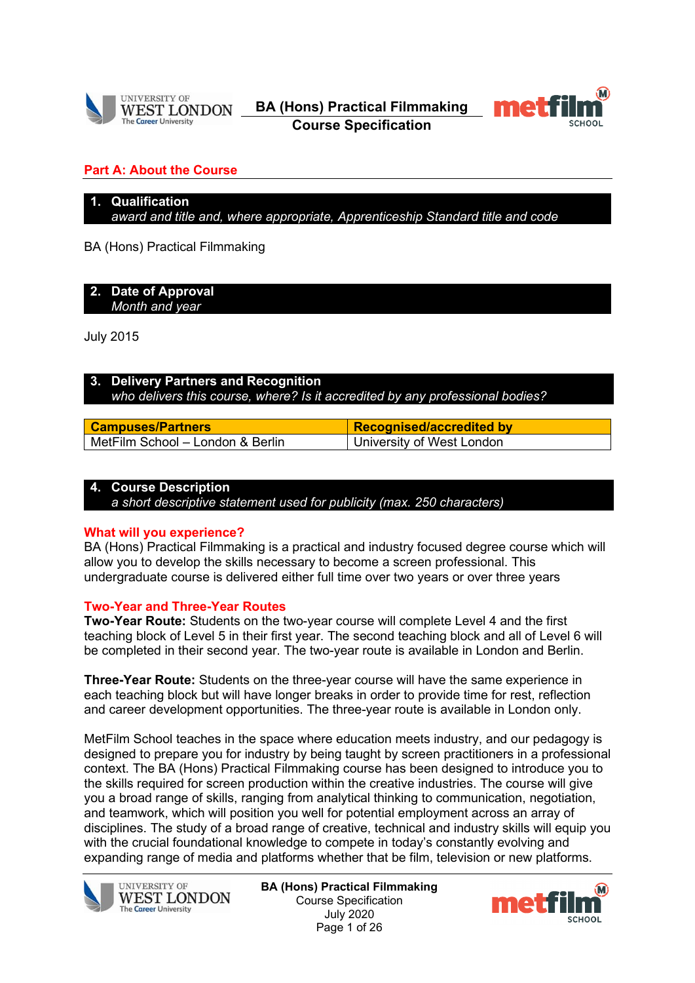

**BA (Hons) Practical Filmmaking Course Specification**



## **Part A: About the Course**

# **1. Qualification**

*award and title and, where appropriate, Apprenticeship Standard title and code*

BA (Hons) Practical Filmmaking

#### **2. Date of Approval** *Month and year*

July 2015

## **3. Delivery Partners and Recognition** *who delivers this course, where? Is it accredited by any professional bodies?*

| <b>Campuses/Partners</b>           | <b>Recognised/accredited by</b> |
|------------------------------------|---------------------------------|
| I MetFilm School - London & Berlin | University of West London       |

## **4. Course Description**

*a short descriptive statement used for publicity (max. 250 characters)*

## **What will you experience?**

BA (Hons) Practical Filmmaking is a practical and industry focused degree course which will allow you to develop the skills necessary to become a screen professional. This undergraduate course is delivered either full time over two years or over three years

## **Two-Year and Three-Year Routes**

**Two-Year Route:** Students on the two-year course will complete Level 4 and the first teaching block of Level 5 in their first year. The second teaching block and all of Level 6 will be completed in their second year. The two-year route is available in London and Berlin.

**Three-Year Route:** Students on the three-year course will have the same experience in each teaching block but will have longer breaks in order to provide time for rest, reflection and career development opportunities. The three-year route is available in London only.

MetFilm School teaches in the space where education meets industry, and our pedagogy is designed to prepare you for industry by being taught by screen practitioners in a professional context. The BA (Hons) Practical Filmmaking course has been designed to introduce you to the skills required for screen production within the creative industries. The course will give you a broad range of skills, ranging from analytical thinking to communication, negotiation, and teamwork, which will position you well for potential employment across an array of disciplines. The study of a broad range of creative, technical and industry skills will equip you with the crucial foundational knowledge to compete in today's constantly evolving and expanding range of media and platforms whether that be film, television or new platforms.



**BA (Hons) Practical Filmmaking** Course Specification July 2020 Page 1 of 26

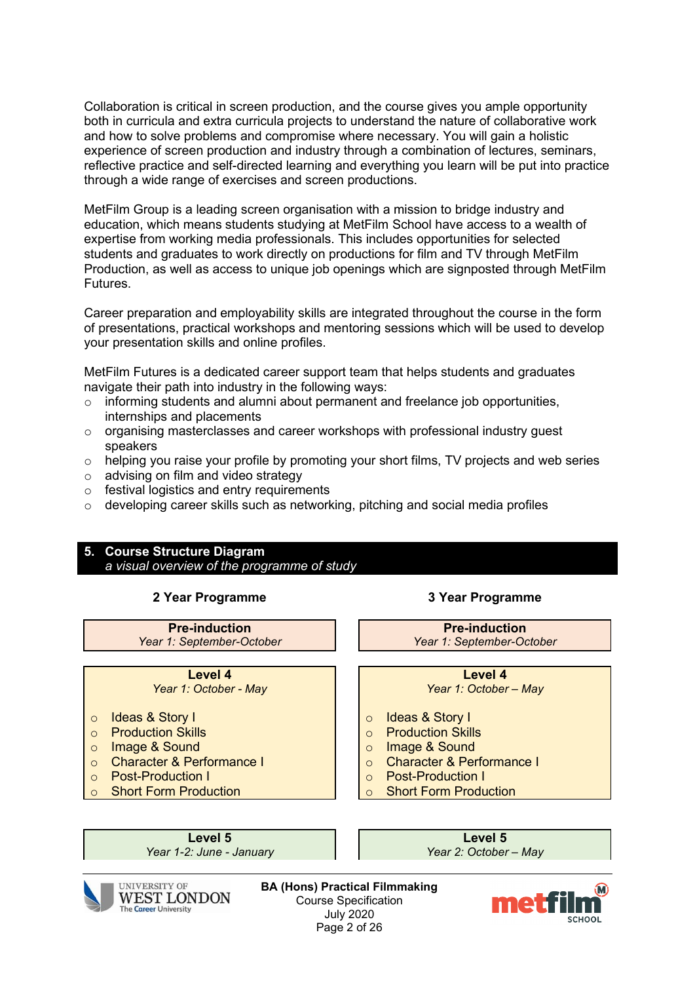Collaboration is critical in screen production, and the course gives you ample opportunity both in curricula and extra curricula projects to understand the nature of collaborative work and how to solve problems and compromise where necessary. You will gain a holistic experience of screen production and industry through a combination of lectures, seminars, reflective practice and self-directed learning and everything you learn will be put into practice through a wide range of exercises and screen productions.

MetFilm Group is a leading screen organisation with a mission to bridge industry and education, which means students studying at MetFilm School have access to a wealth of expertise from working media professionals. This includes opportunities for selected students and graduates to work directly on productions for film and TV through MetFilm Production, as well as access to unique job openings which are signposted through MetFilm Futures.

Career preparation and employability skills are integrated throughout the course in the form of presentations, practical workshops and mentoring sessions which will be used to develop your presentation skills and online profiles.

MetFilm Futures is a dedicated career support team that helps students and graduates navigate their path into industry in the following ways:

- o informing students and alumni about permanent and freelance job opportunities, internships and placements
- o organising masterclasses and career workshops with professional industry guest speakers
- $\circ$  helping you raise your profile by promoting your short films, TV projects and web series
- o advising on film and video strategy
- o festival logistics and entry requirements
- $\circ$  developing career skills such as networking, pitching and social media profiles

#### **5. Course Structure Diagram** *a visual overview of the programme of study*

**Pre-induction Pre-induction** *Year 1: September-October Year 1: September-October*

- o Ideas & Story I
- o Production Skills
- o Image & Sound
- Character & Performance I<br>○ Post-Production I
- Post-Production I
- **Short Form Production**

**2 Year Programme 3 Year Programme**

**Level 4 Level 4** *Year 1: October - May Year 1: October – May*

- o Ideas & Story I
- o Production Skills
- o Image & Sound
- Character & Performance I<br>○ Post-Production I
- Post-Production I<br>○ Short Form Produ
- **Short Form Production**

*Year 1-2: June - January Year 2: October – May*

**Level 5**<br>2: June - January **Canadian Contract Contract Contract Contract Contract Contract Contract Contract Contract Contract Contract Contract Contract Contract Contract Contract Contract Contract Contract Contract Cont** 



**UNIVERSITY OF WEST LONDON** The Career University

**BA (Hons) Practical Filmmaking** Course Specification July 2020 Page 2 of 26

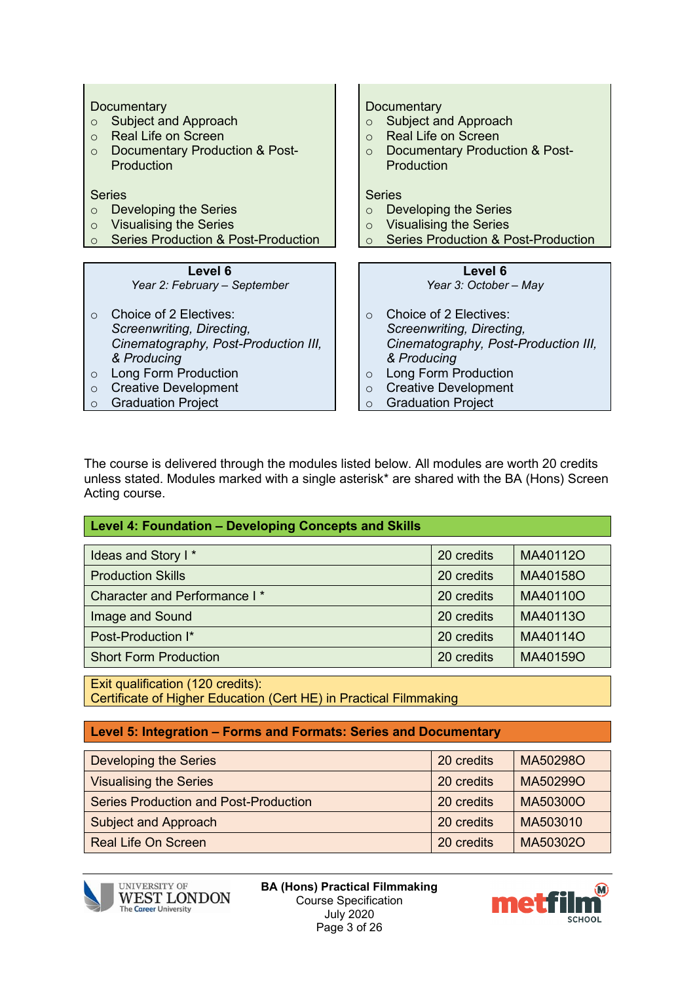| Documentary<br>Subject and Approach<br>$\Omega$<br><b>Real Life on Screen</b><br>$\Omega$<br>Documentary Production & Post-<br>$\Omega$<br>Production |
|-------------------------------------------------------------------------------------------------------------------------------------------------------|
| <b>Series</b>                                                                                                                                         |
| Developing the Series<br>$\Omega$                                                                                                                     |
| <b>Visualising the Series</b><br>$\Omega$                                                                                                             |
| <b>Series Production &amp; Post-Production</b><br>$\Omega$                                                                                            |
|                                                                                                                                                       |
| Level 6<br>Year 3: October - May                                                                                                                      |
| Choice of 2 Electives:<br>$\Omega$<br>Screenwriting, Directing,<br>Cinematography, Post-Production III,<br>& Producing                                |
|                                                                                                                                                       |

The course is delivered through the modules listed below. All modules are worth 20 credits unless stated. Modules marked with a single asterisk\* are shared with the BA (Hons) Screen Acting course.

| $\mid$ Level 4: Foundation – Developing Concepts and Skills $\mid$ |  |
|--------------------------------------------------------------------|--|
|--------------------------------------------------------------------|--|

| Ideas and Story I*                       | 20 credits | MA40112O |
|------------------------------------------|------------|----------|
| <b>Production Skills</b>                 | 20 credits | MA40158O |
| Character and Performance I <sup>*</sup> | 20 credits | MA40110O |
| Image and Sound                          | 20 credits | MA40113O |
| Post-Production I*                       | 20 credits | MA40114O |
| <b>Short Form Production</b>             | 20 credits | MA40159O |

Exit qualification (120 credits): Certificate of Higher Education (Cert HE) in Practical Filmmaking

#### **Level 5: Integration – Forms and Formats: Series and Documentary**

| <b>Developing the Series</b>                 | 20 credits | MA50298O |
|----------------------------------------------|------------|----------|
| <b>Visualising the Series</b>                | 20 credits | MA50299O |
| <b>Series Production and Post-Production</b> | 20 credits | MA50300O |
| <b>Subject and Approach</b>                  | 20 credits | MA503010 |
| <b>Real Life On Screen</b>                   | 20 credits | MA50302O |



 $\mathbf{I}$ 

**BA (Hons) Practical Filmmaking** Course Specification July 2020 Page 3 of 26

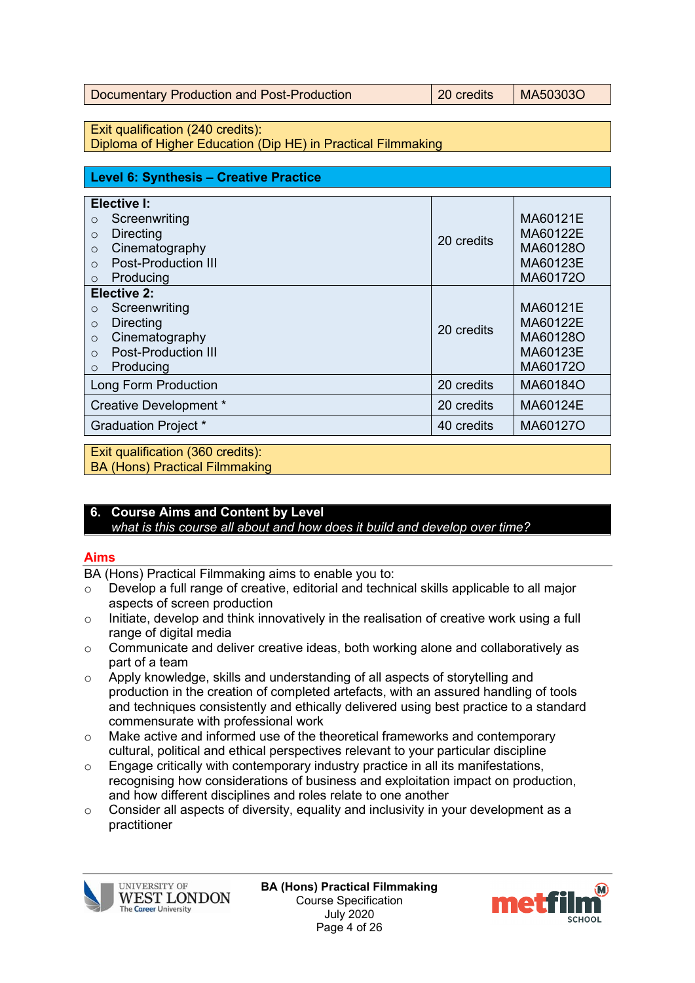| Documentary Production and Post-Production | 20 credits | MA50303O |
|--------------------------------------------|------------|----------|
|--------------------------------------------|------------|----------|

Exit qualification (240 credits):

Diploma of Higher Education (Dip HE) in Practical Filmmaking

| Level 6: Synthesis – Creative Practice                                                                                                                                       |            |                                                          |
|------------------------------------------------------------------------------------------------------------------------------------------------------------------------------|------------|----------------------------------------------------------|
| Elective I:<br>Screenwriting<br>$\circ$                                                                                                                                      |            | MA60121E                                                 |
| <b>Directing</b><br>$\circ$<br>Cinematography<br>$\Omega$<br><b>Post-Production III</b><br>$\Omega$                                                                          | 20 credits | MA60122E<br>MA60128O<br>MA60123E                         |
| Producing<br>$\circ$                                                                                                                                                         |            | MA60172O                                                 |
| <b>Elective 2:</b><br>Screenwriting<br>$\circ$<br><b>Directing</b><br>$\circ$<br>Cinematography<br>$\circ$<br><b>Post-Production III</b><br>$\Omega$<br>Producing<br>$\circ$ | 20 credits | MA60121E<br>MA60122E<br>MA60128O<br>MA60123E<br>MA60172O |
| Long Form Production                                                                                                                                                         | 20 credits | MA60184O                                                 |
| Creative Development *                                                                                                                                                       | 20 credits | MA60124E                                                 |
| <b>Graduation Project *</b>                                                                                                                                                  | 40 credits | MA60127O                                                 |

Exit qualification (360 credits): BA (Hons) Practical Filmmaking

# **6. Course Aims and Content by Level**

*what is this course all about and how does it build and develop over time?*

## **Aims**

BA (Hons) Practical Filmmaking aims to enable you to:

- o Develop a full range of creative, editorial and technical skills applicable to all major aspects of screen production
- o Initiate, develop and think innovatively in the realisation of creative work using a full range of digital media
- o Communicate and deliver creative ideas, both working alone and collaboratively as part of a team
- o Apply knowledge, skills and understanding of all aspects of storytelling and production in the creation of completed artefacts, with an assured handling of tools and techniques consistently and ethically delivered using best practice to a standard commensurate with professional work
- o Make active and informed use of the theoretical frameworks and contemporary cultural, political and ethical perspectives relevant to your particular discipline
- o Engage critically with contemporary industry practice in all its manifestations, recognising how considerations of business and exploitation impact on production, and how different disciplines and roles relate to one another
- o Consider all aspects of diversity, equality and inclusivity in your development as a practitioner



**BA (Hons) Practical Filmmaking** Course Specification July 2020 Page 4 of 26

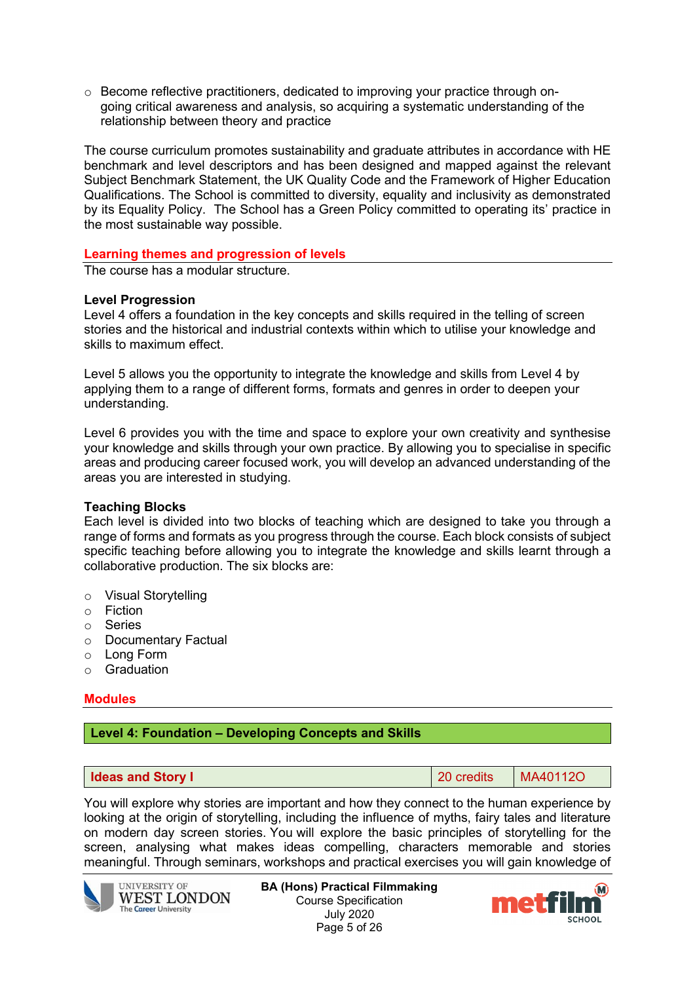$\circ$  Become reflective practitioners, dedicated to improving your practice through ongoing critical awareness and analysis, so acquiring a systematic understanding of the relationship between theory and practice

The course curriculum promotes sustainability and graduate attributes in accordance with HE benchmark and level descriptors and has been designed and mapped against the relevant Subject Benchmark Statement, the UK Quality Code and the Framework of Higher Education Qualifications. The School is committed to diversity, equality and inclusivity as demonstrated by its Equality Policy. The School has a Green Policy committed to operating its' practice in the most sustainable way possible.

### **Learning themes and progression of levels**

The course has a modular structure.

#### **Level Progression**

Level 4 offers a foundation in the key concepts and skills required in the telling of screen stories and the historical and industrial contexts within which to utilise your knowledge and skills to maximum effect.

Level 5 allows you the opportunity to integrate the knowledge and skills from Level 4 by applying them to a range of different forms, formats and genres in order to deepen your understanding.

Level 6 provides you with the time and space to explore your own creativity and synthesise your knowledge and skills through your own practice. By allowing you to specialise in specific areas and producing career focused work, you will develop an advanced understanding of the areas you are interested in studying.

#### **Teaching Blocks**

Each level is divided into two blocks of teaching which are designed to take you through a range of forms and formats as you progress through the course. Each block consists of subject specific teaching before allowing you to integrate the knowledge and skills learnt through a collaborative production. The six blocks are:

- o Visual Storytelling
- o Fiction
- o Series
- o Documentary Factual
- o Long Form
- o Graduation

## **Modules**

#### **Level 4: Foundation – Developing Concepts and Skills**

**Ideas and Story I IDEAL CONSUMPTER MATTER I** 20 credits MA40112O

You will explore why stories are important and how they connect to the human experience by looking at the origin of storytelling, including the influence of myths, fairy tales and literature on modern day screen stories. You will explore the basic principles of storytelling for the screen, analysing what makes ideas compelling, characters memorable and stories meaningful. Through seminars, workshops and practical exercises you will gain knowledge of



**BA (Hons) Practical Filmmaking** Course Specification July 2020 Page 5 of 26

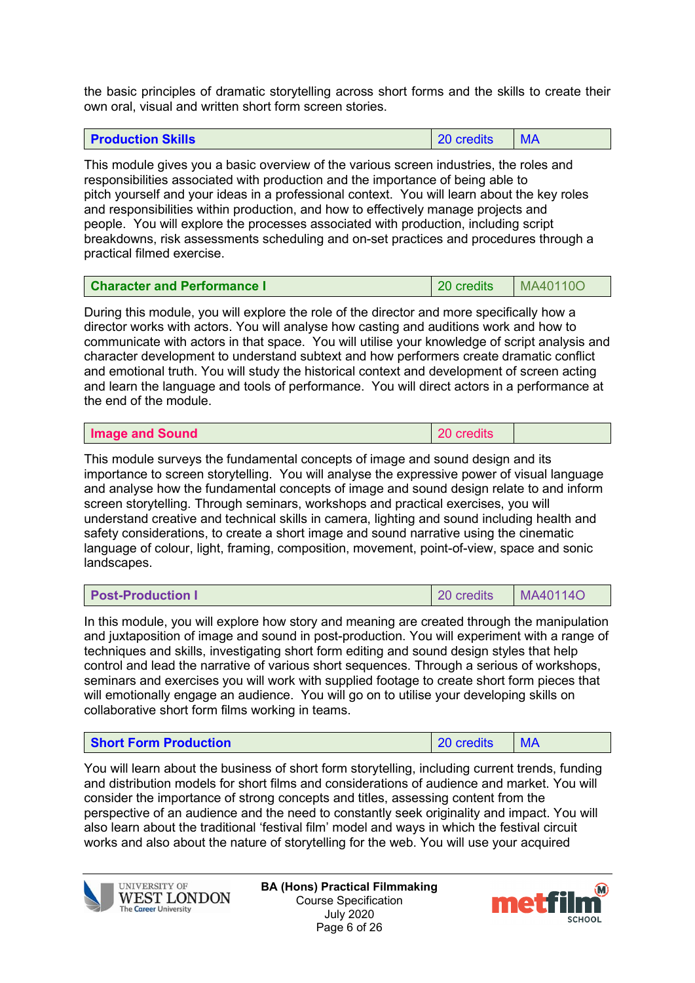the basic principles of dramatic storytelling across short forms and the skills to create their own oral, visual and written short form screen stories.

| <b>Production Skills</b> | 20 credits |  |
|--------------------------|------------|--|
|--------------------------|------------|--|

This module gives you a basic overview of the various screen industries, the roles and responsibilities associated with production and the importance of being able to pitch yourself and your ideas in a professional context. You will learn about the key roles and responsibilities within production, and how to effectively manage projects and people. You will explore the processes associated with production, including script breakdowns, risk assessments scheduling and on-set practices and procedures through a practical filmed exercise.

| <b>Character and Performance I</b> | 20 credits | MA40110O |
|------------------------------------|------------|----------|
|------------------------------------|------------|----------|

During this module, you will explore the role of the director and more specifically how a director works with actors. You will analyse how casting and auditions work and how to communicate with actors in that space. You will utilise your knowledge of script analysis and character development to understand subtext and how performers create dramatic conflict and emotional truth. You will study the historical context and development of screen acting and learn the language and tools of performance. You will direct actors in a performance at the end of the module.

| Image and Sound | 20 credits |  |
|-----------------|------------|--|

This module surveys the fundamental concepts of image and sound design and its importance to screen storytelling. You will analyse the expressive power of visual language and analyse how the fundamental concepts of image and sound design relate to and inform screen storytelling. Through seminars, workshops and practical exercises, you will understand creative and technical skills in camera, lighting and sound including health and safety considerations, to create a short image and sound narrative using the cinematic language of colour, light, framing, composition, movement, point-of-view, space and sonic landscapes.

| <b>Post-Production I</b> | 20 credits | MA40114O |
|--------------------------|------------|----------|
|                          |            |          |

In this module, you will explore how story and meaning are created through the manipulation and juxtaposition of image and sound in post-production. You will experiment with a range of techniques and skills, investigating short form editing and sound design styles that help control and lead the narrative of various short sequences. Through a serious of workshops, seminars and exercises you will work with supplied footage to create short form pieces that will emotionally engage an audience. You will go on to utilise your developing skills on collaborative short form films working in teams.

| $\vert$ 20 credits $\vert$<br><b>Short Form Production</b><br>I MA |  |
|--------------------------------------------------------------------|--|
|--------------------------------------------------------------------|--|

You will learn about the business of short form storytelling, including current trends, funding and distribution models for short films and considerations of audience and market. You will consider the importance of strong concepts and titles, assessing content from the perspective of an audience and the need to constantly seek originality and impact. You will also learn about the traditional 'festival film' model and ways in which the festival circuit works and also about the nature of storytelling for the web. You will use your acquired



**UNIVERSITY OF WEST LONDON** The Career University

**BA (Hons) Practical Filmmaking** Course Specification July 2020 Page 6 of 26

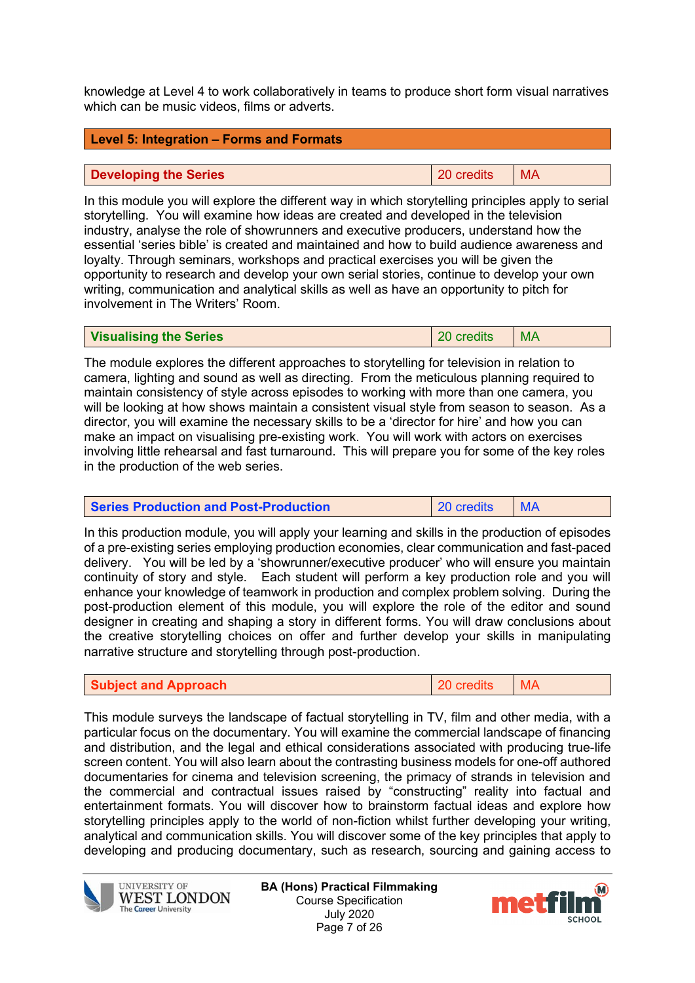knowledge at Level 4 to work collaboratively in teams to produce short form visual narratives which can be music videos, films or adverts.

| <b>Level 5: Integration – Forms and Formats</b> |                 |  |
|-------------------------------------------------|-----------------|--|
|                                                 |                 |  |
| Developing the Series                           | 20 credits   MA |  |

In this module you will explore the different way in which storytelling principles apply to serial storytelling. You will examine how ideas are created and developed in the television industry, analyse the role of showrunners and executive producers, understand how the essential 'series bible' is created and maintained and how to build audience awareness and loyalty. Through seminars, workshops and practical exercises you will be given the opportunity to research and develop your own serial stories, continue to develop your own writing, communication and analytical skills as well as have an opportunity to pitch for involvement in The Writers' Room.

| <b>Visualising the Series</b> | 20 credits | $\mathsf{MA}$ |
|-------------------------------|------------|---------------|
|-------------------------------|------------|---------------|

The module explores the different approaches to storytelling for television in relation to camera, lighting and sound as well as directing. From the meticulous planning required to maintain consistency of style across episodes to working with more than one camera, you will be looking at how shows maintain a consistent visual style from season to season. As a director, you will examine the necessary skills to be a 'director for hire' and how you can make an impact on visualising pre-existing work. You will work with actors on exercises involving little rehearsal and fast turnaround. This will prepare you for some of the key roles in the production of the web series.

| 20 credits<br>IMA<br><b>Series Production and Post-Production</b> |  |
|-------------------------------------------------------------------|--|
|-------------------------------------------------------------------|--|

In this production module, you will apply your learning and skills in the production of episodes of a pre-existing series employing production economies, clear communication and fast-paced delivery. You will be led by a 'showrunner/executive producer' who will ensure you maintain continuity of story and style. Each student will perform a key production role and you will enhance your knowledge of teamwork in production and complex problem solving. During the post-production element of this module, you will explore the role of the editor and sound designer in creating and shaping a story in different forms. You will draw conclusions about the creative storytelling choices on offer and further develop your skills in manipulating narrative structure and storytelling through post-production.

| <b>Subject and Approach</b> | 20 credits MA |  |
|-----------------------------|---------------|--|
|-----------------------------|---------------|--|

This module surveys the landscape of factual storytelling in TV, film and other media, with a particular focus on the documentary. You will examine the commercial landscape of financing and distribution, and the legal and ethical considerations associated with producing true-life screen content. You will also learn about the contrasting business models for one-off authored documentaries for cinema and television screening, the primacy of strands in television and the commercial and contractual issues raised by "constructing" reality into factual and entertainment formats. You will discover how to brainstorm factual ideas and explore how storytelling principles apply to the world of non-fiction whilst further developing your writing, analytical and communication skills. You will discover some of the key principles that apply to developing and producing documentary, such as research, sourcing and gaining access to



**UNIVERSITY OF WEST LONDON The Career University** 

**BA (Hons) Practical Filmmaking** Course Specification July 2020 Page 7 of 26

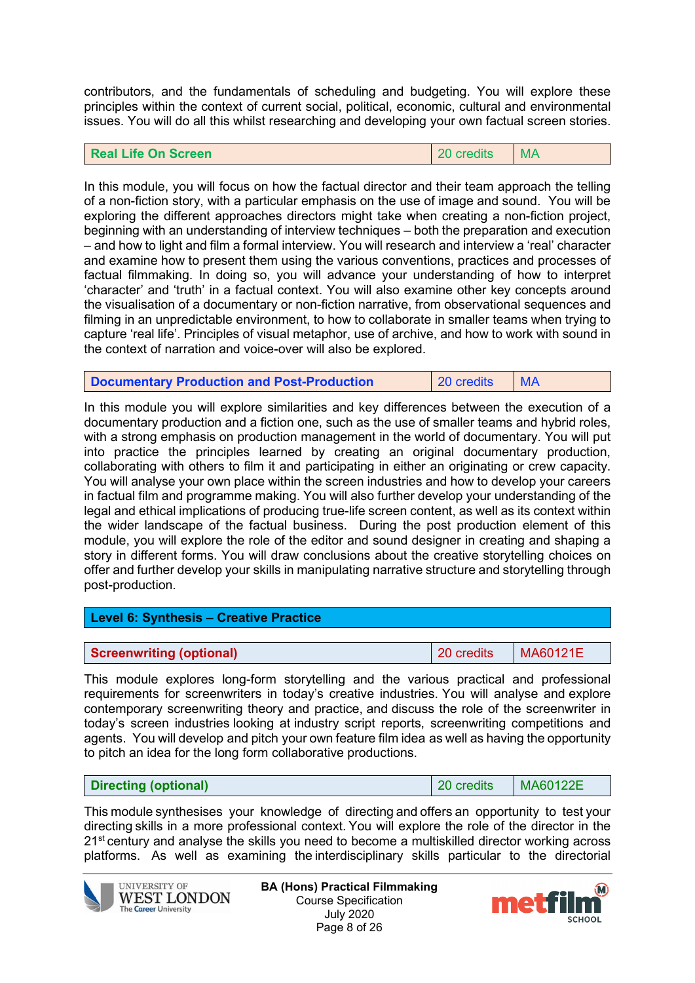contributors, and the fundamentals of scheduling and budgeting. You will explore these principles within the context of current social, political, economic, cultural and environmental issues. You will do all this whilst researching and developing your own factual screen stories.

#### **Real Life On Screen <b>Contact Contact Contact Contact Contact Contact Contact Contact Contact Contact Contact Contact Contact Contact Contact Contact Contact Contact Contact Contact Contact Contact Contact Contact Contact**

In this module, you will focus on how the factual director and their team approach the telling of a non-fiction story, with a particular emphasis on the use of image and sound. You will be exploring the different approaches directors might take when creating a non-fiction project, beginning with an understanding of interview techniques – both the preparation and execution – and how to light and film a formal interview. You will research and interview a 'real' character and examine how to present them using the various conventions, practices and processes of factual filmmaking. In doing so, you will advance your understanding of how to interpret 'character' and 'truth' in a factual context. You will also examine other key concepts around the visualisation of a documentary or non-fiction narrative, from observational sequences and filming in an unpredictable environment, to how to collaborate in smaller teams when trying to capture 'real life'. Principles of visual metaphor, use of archive, and how to work with sound in the context of narration and voice-over will also be explored.

| <b>Documentary Production and Post-Production</b> | 20 credits | $\mathsf{I}$ MA |
|---------------------------------------------------|------------|-----------------|
|---------------------------------------------------|------------|-----------------|

In this module you will explore similarities and key differences between the execution of a documentary production and a fiction one, such as the use of smaller teams and hybrid roles, with a strong emphasis on production management in the world of documentary. You will put into practice the principles learned by creating an original documentary production, collaborating with others to film it and participating in either an originating or crew capacity. You will analyse your own place within the screen industries and how to develop your careers in factual film and programme making. You will also further develop your understanding of the legal and ethical implications of producing true-life screen content, as well as its context within the wider landscape of the factual business. During the post production element of this module, you will explore the role of the editor and sound designer in creating and shaping a story in different forms. You will draw conclusions about the creative storytelling choices on offer and further develop your skills in manipulating narrative structure and storytelling through post-production.

| Level 6: Synthesis - Creative Practice |            |          |
|----------------------------------------|------------|----------|
|                                        |            |          |
| <b>Screenwriting (optional)</b>        | 20 credits | MA60121E |

This module explores long-form storytelling and the various practical and professional requirements for screenwriters in today's creative industries. You will analyse and explore contemporary screenwriting theory and practice, and discuss the role of the screenwriter in today's screen industries looking at industry script reports, screenwriting competitions and agents. You will develop and pitch your own feature film idea as well as having the opportunity to pitch an idea for the long form collaborative productions.

| MA60122E<br>20 credits<br>Directing (optional) |
|------------------------------------------------|
|------------------------------------------------|

This module synthesises your knowledge of directing and offers an opportunity to test your directing skills in a more professional context. You will explore the role of the director in the  $21<sup>st</sup>$  century and analyse the skills you need to become a multiskilled director working across platforms.  As well as examining the interdisciplinary skills particular to the directorial



**BA (Hons) Practical Filmmaking** Course Specification July 2020 Page 8 of 26

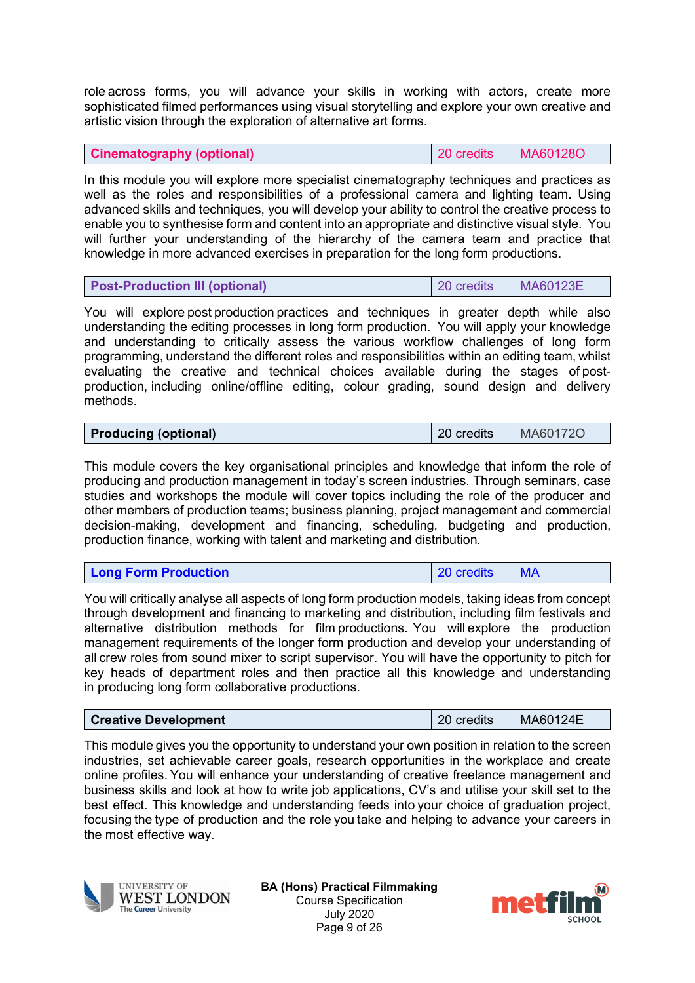role across forms, you will advance your skills in working with actors, create more sophisticated filmed performances using visual storytelling and explore your own creative and artistic vision through the exploration of alternative art forms. 

|  | <b>Cinematography (optional)</b> |  |
|--|----------------------------------|--|
|  |                                  |  |

**Cinematography (optional)** 20 credits MA60128O

In this module you will explore more specialist cinematography techniques and practices as well as the roles and responsibilities of a professional camera and lighting team. Using advanced skills and techniques, you will develop your ability to control the creative process to enable you to synthesise form and content into an appropriate and distinctive visual style. You will further your understanding of the hierarchy of the camera team and practice that knowledge in more advanced exercises in preparation for the long form productions.

| <b>Post-Production III (optional)</b> | 20 credits | MA60123E |
|---------------------------------------|------------|----------|
|---------------------------------------|------------|----------|

You will explore post production practices and techniques in greater depth while also understanding the editing processes in long form production.  You will apply your knowledge and understanding to critically assess the various workflow challenges of long form programming, understand the different roles and responsibilities within an editing team, whilst evaluating the creative and technical choices available during the stages of postproduction, including online/offline editing, colour grading, sound design and delivery methods. 

| <b>Producing (optional)</b> | 20 credits   MA601720 |  |
|-----------------------------|-----------------------|--|

This module covers the key organisational principles and knowledge that inform the role of producing and production management in today's screen industries. Through seminars, case studies and workshops the module will cover topics including the role of the producer and other members of production teams; business planning, project management and commercial decision-making, development and financing, scheduling, budgeting and production, production finance, working with talent and marketing and distribution.

| 20 credits<br><b>Long Form Production</b> |
|-------------------------------------------|
|-------------------------------------------|

You will critically analyse all aspects of long form production models, taking ideas from concept through development and financing to marketing and distribution, including film festivals and alternative distribution methods for film productions.  You will explore the production management requirements of the longer form production and develop your understanding of all crew roles from sound mixer to script supervisor. You will have the opportunity to pitch for key heads of department roles and then practice all this knowledge and understanding in producing long form collaborative productions.

| <b>Creative Development</b> | 20 credits | MA60124E |
|-----------------------------|------------|----------|
|-----------------------------|------------|----------|

This module gives you the opportunity to understand your own position in relation to the screen industries, set achievable career goals, research opportunities in the workplace and create online profiles. You will enhance your understanding of creative freelance management and business skills and look at how to write job applications, CV's and utilise your skill set to the best effect. This knowledge and understanding feeds into your choice of graduation project, focusing the type of production and the role you take and helping to advance your careers in the most effective way.  



**BA (Hons) Practical Filmmaking** Course Specification July 2020 Page 9 of 26

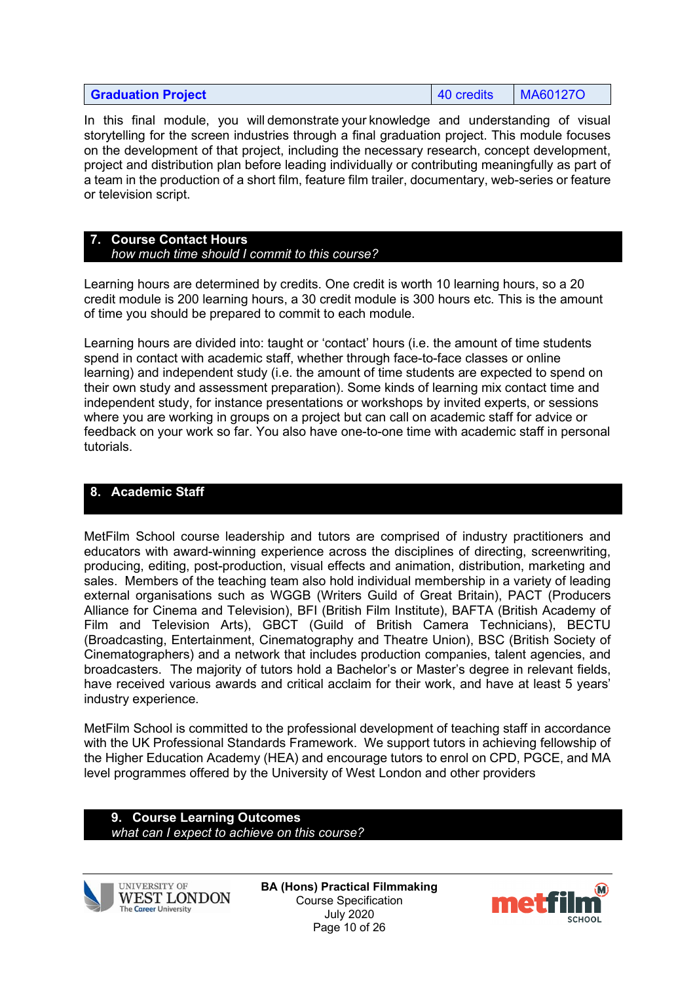| <b>Graduation Project</b> | $\vert$ 40 credits | MA60127O |
|---------------------------|--------------------|----------|
|---------------------------|--------------------|----------|

In this final module, you will demonstrate your knowledge and understanding of visual storytelling for the screen industries through a final graduation project. This module focuses on the development of that project, including the necessary research, concept development, project and distribution plan before leading individually or contributing meaningfully as part of a team in the production of a short film, feature film trailer, documentary, web-series or feature or television script. 

#### **7. Course Contact Hours** *how much time should I commit to this course?*

Learning hours are determined by credits. One credit is worth 10 learning hours, so a 20 credit module is 200 learning hours, a 30 credit module is 300 hours etc. This is the amount of time you should be prepared to commit to each module.

Learning hours are divided into: taught or 'contact' hours (i.e. the amount of time students spend in contact with academic staff, whether through face-to-face classes or online learning) and independent study (i.e. the amount of time students are expected to spend on their own study and assessment preparation). Some kinds of learning mix contact time and independent study, for instance presentations or workshops by invited experts, or sessions where you are working in groups on a project but can call on academic staff for advice or feedback on your work so far. You also have one-to-one time with academic staff in personal tutorials.

# **8. Academic Staff**

MetFilm School course leadership and tutors are comprised of industry practitioners and educators with award-winning experience across the disciplines of directing, screenwriting, producing, editing, post-production, visual effects and animation, distribution, marketing and sales. Members of the teaching team also hold individual membership in a variety of leading external organisations such as WGGB (Writers Guild of Great Britain), PACT (Producers Alliance for Cinema and Television), BFI (British Film Institute), BAFTA (British Academy of Film and Television Arts), GBCT (Guild of British Camera Technicians), BECTU (Broadcasting, Entertainment, Cinematography and Theatre Union), BSC (British Society of Cinematographers) and a network that includes production companies, talent agencies, and broadcasters. The majority of tutors hold a Bachelor's or Master's degree in relevant fields, have received various awards and critical acclaim for their work, and have at least 5 years' industry experience.

MetFilm School is committed to the professional development of teaching staff in accordance with the UK Professional Standards Framework. We support tutors in achieving fellowship of the Higher Education Academy (HEA) and encourage tutors to enrol on CPD, PGCE, and MA level programmes offered by the University of West London and other providers

#### **9. Course Learning Outcomes** *what can I expect to achieve on this course?*



**UNIVERSITY OF WEST LONDON** The Career University

**BA (Hons) Practical Filmmaking** Course Specification July 2020 Page 10 of 26

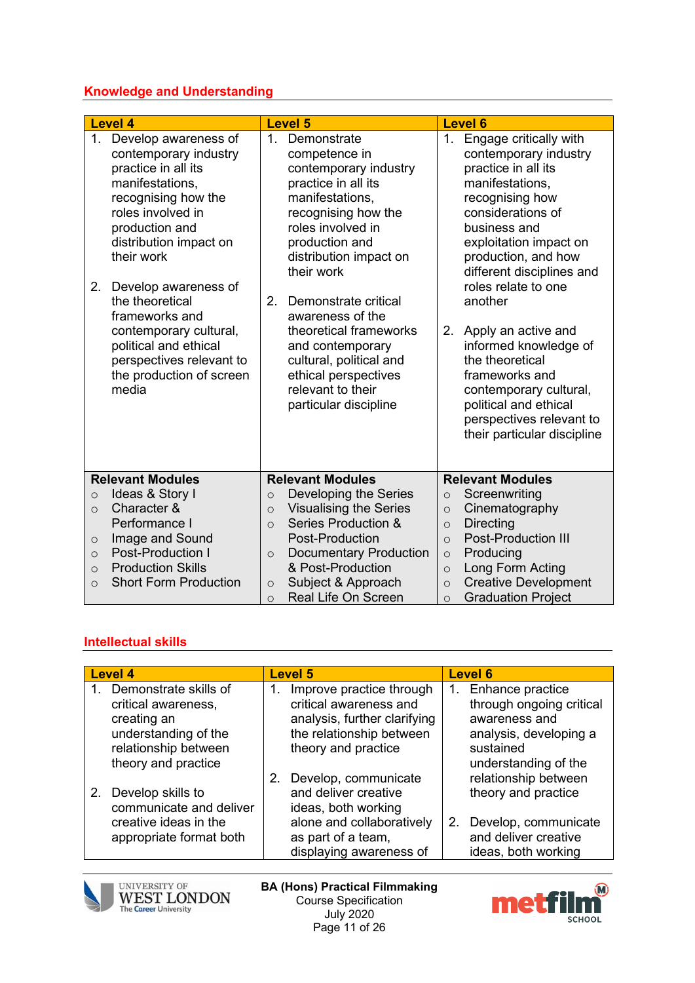## **Knowledge and Understanding**

| <b>Level 4</b>                                                                                                                                                                                                                                                                                                                                                                             | <b>Level 5</b>                                                                                                                                                                                                                                                                                                                                                                                                         | <b>Level 6</b>                                                                                                                                                                                                                                                                                                                                                                                                                                                                   |  |  |
|--------------------------------------------------------------------------------------------------------------------------------------------------------------------------------------------------------------------------------------------------------------------------------------------------------------------------------------------------------------------------------------------|------------------------------------------------------------------------------------------------------------------------------------------------------------------------------------------------------------------------------------------------------------------------------------------------------------------------------------------------------------------------------------------------------------------------|----------------------------------------------------------------------------------------------------------------------------------------------------------------------------------------------------------------------------------------------------------------------------------------------------------------------------------------------------------------------------------------------------------------------------------------------------------------------------------|--|--|
| 1.<br>Develop awareness of<br>contemporary industry<br>practice in all its<br>manifestations,<br>recognising how the<br>roles involved in<br>production and<br>distribution impact on<br>their work<br>Develop awareness of<br>2.<br>the theoretical<br>frameworks and<br>contemporary cultural,<br>political and ethical<br>perspectives relevant to<br>the production of screen<br>media | Demonstrate<br>$\mathbf{1}$<br>competence in<br>contemporary industry<br>practice in all its<br>manifestations,<br>recognising how the<br>roles involved in<br>production and<br>distribution impact on<br>their work<br>2.<br>Demonstrate critical<br>awareness of the<br>theoretical frameworks<br>and contemporary<br>cultural, political and<br>ethical perspectives<br>relevant to their<br>particular discipline | Engage critically with<br>1.<br>contemporary industry<br>practice in all its<br>manifestations,<br>recognising how<br>considerations of<br>business and<br>exploitation impact on<br>production, and how<br>different disciplines and<br>roles relate to one<br>another<br>2.<br>Apply an active and<br>informed knowledge of<br>the theoretical<br>frameworks and<br>contemporary cultural,<br>political and ethical<br>perspectives relevant to<br>their particular discipline |  |  |
| <b>Relevant Modules</b>                                                                                                                                                                                                                                                                                                                                                                    | <b>Relevant Modules</b>                                                                                                                                                                                                                                                                                                                                                                                                | <b>Relevant Modules</b>                                                                                                                                                                                                                                                                                                                                                                                                                                                          |  |  |
| Ideas & Story I<br>$\circ$                                                                                                                                                                                                                                                                                                                                                                 | Developing the Series<br>$\circ$                                                                                                                                                                                                                                                                                                                                                                                       | Screenwriting<br>$\circ$                                                                                                                                                                                                                                                                                                                                                                                                                                                         |  |  |
| Character &<br>$\Omega$                                                                                                                                                                                                                                                                                                                                                                    | <b>Visualising the Series</b><br>$\circ$                                                                                                                                                                                                                                                                                                                                                                               | Cinematography<br>$\circ$                                                                                                                                                                                                                                                                                                                                                                                                                                                        |  |  |
| Performance I                                                                                                                                                                                                                                                                                                                                                                              | Series Production &<br>$\Omega$                                                                                                                                                                                                                                                                                                                                                                                        | <b>Directing</b><br>$\circ$                                                                                                                                                                                                                                                                                                                                                                                                                                                      |  |  |
| Image and Sound<br>$\circ$                                                                                                                                                                                                                                                                                                                                                                 | Post-Production                                                                                                                                                                                                                                                                                                                                                                                                        | <b>Post-Production III</b><br>$\circ$                                                                                                                                                                                                                                                                                                                                                                                                                                            |  |  |
| Post-Production I<br>$\circ$                                                                                                                                                                                                                                                                                                                                                               | <b>Documentary Production</b><br>$\circ$                                                                                                                                                                                                                                                                                                                                                                               | Producing<br>$\circ$                                                                                                                                                                                                                                                                                                                                                                                                                                                             |  |  |
| <b>Production Skills</b><br>$\Omega$                                                                                                                                                                                                                                                                                                                                                       | & Post-Production                                                                                                                                                                                                                                                                                                                                                                                                      | Long Form Acting<br>$\Omega$                                                                                                                                                                                                                                                                                                                                                                                                                                                     |  |  |
| <b>Short Form Production</b><br>$\Omega$                                                                                                                                                                                                                                                                                                                                                   | Subject & Approach<br>$\circ$                                                                                                                                                                                                                                                                                                                                                                                          | <b>Creative Development</b><br>$\Omega$                                                                                                                                                                                                                                                                                                                                                                                                                                          |  |  |
|                                                                                                                                                                                                                                                                                                                                                                                            | <b>Real Life On Screen</b><br>$\circ$                                                                                                                                                                                                                                                                                                                                                                                  | <b>Graduation Project</b><br>$\circ$                                                                                                                                                                                                                                                                                                                                                                                                                                             |  |  |

## **Intellectual skills**

| <b>Level 4</b> |                                                                                                                     |  | <b>Level 5</b>                                                                                                                                    | <b>Level 6</b> |                                                                                                                              |  |
|----------------|---------------------------------------------------------------------------------------------------------------------|--|---------------------------------------------------------------------------------------------------------------------------------------------------|----------------|------------------------------------------------------------------------------------------------------------------------------|--|
| creating an    | Demonstrate skills of<br>critical awareness,<br>understanding of the<br>relationship between<br>theory and practice |  | Improve practice through<br>critical awareness and<br>analysis, further clarifying<br>the relationship between<br>theory and practice             | 1.             | Enhance practice<br>through ongoing critical<br>awareness and<br>analysis, developing a<br>sustained<br>understanding of the |  |
| $2_{-}$        | Develop skills to<br>communicate and deliver<br>creative ideas in the<br>appropriate format both                    |  | Develop, communicate<br>and deliver creative<br>ideas, both working<br>alone and collaboratively<br>as part of a team,<br>displaying awareness of | 2.             | relationship between<br>theory and practice<br>Develop, communicate<br>and deliver creative<br>ideas, both working           |  |



**BA (Hons) Practical Filmmaking** Course Specification July 2020 Page 11 of 26

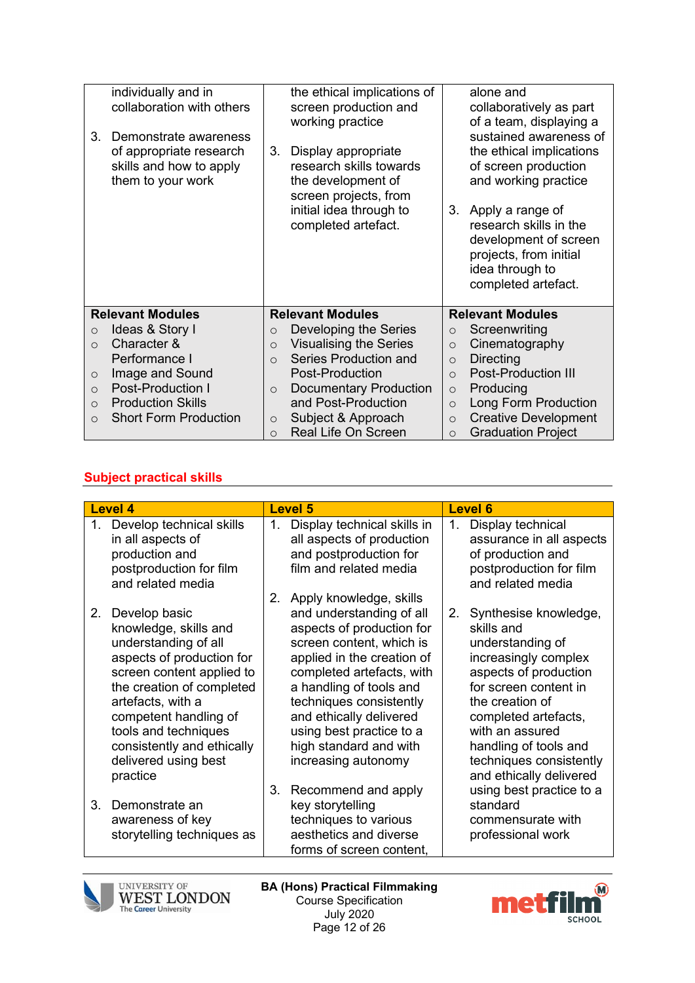| individually and in                      | the ethical implications of                          | alone and                                                           |
|------------------------------------------|------------------------------------------------------|---------------------------------------------------------------------|
| collaboration with others                | screen production and                                | collaboratively as part                                             |
|                                          | working practice                                     | of a team, displaying a                                             |
| 3.<br>Demonstrate awareness              |                                                      | sustained awareness of                                              |
| of appropriate research                  | 3.<br>Display appropriate                            | the ethical implications                                            |
| skills and how to apply                  | research skills towards                              | of screen production                                                |
| them to your work                        | the development of                                   | and working practice                                                |
|                                          | screen projects, from                                |                                                                     |
|                                          | initial idea through to                              | 3.<br>Apply a range of                                              |
|                                          | completed artefact.                                  | research skills in the                                              |
|                                          |                                                      | development of screen                                               |
|                                          |                                                      | projects, from initial                                              |
|                                          |                                                      | idea through to                                                     |
|                                          |                                                      | completed artefact.                                                 |
| <b>Relevant Modules</b>                  | <b>Relevant Modules</b>                              | <b>Relevant Modules</b>                                             |
| Ideas & Story I<br>$\circ$               | Developing the Series<br>$\circ$                     | Screenwriting<br>$\circ$                                            |
| Character &<br>$\Omega$                  | <b>Visualising the Series</b><br>$\circ$             | Cinematography<br>$\circ$                                           |
| Performance I                            | Series Production and<br>$\Omega$                    | <b>Directing</b><br>$\circ$                                         |
| Image and Sound<br>$\circ$               |                                                      |                                                                     |
|                                          | Post-Production                                      | <b>Post-Production III</b><br>$\circ$                               |
| <b>Post-Production I</b><br>$\Omega$     | <b>Documentary Production</b><br>$\circ$             | Producing<br>$\circ$                                                |
| <b>Production Skills</b><br>$\Omega$     | and Post-Production                                  | Long Form Production<br>$\Omega$                                    |
| <b>Short Form Production</b><br>$\Omega$ | Subject & Approach<br>$\circ$<br>Real Life On Screen | <b>Creative Development</b><br>$\circ$<br><b>Graduation Project</b> |

## **Subject practical skills**

|    | <b>Level 4</b>                                                                                                                                                                                                                                                                                |          | <b>Level 5</b>                                                                                                                                                                                                                                                                                                                    |    | <b>Level 6</b>                                                                                                                                                                                                                                                                                             |  |  |
|----|-----------------------------------------------------------------------------------------------------------------------------------------------------------------------------------------------------------------------------------------------------------------------------------------------|----------|-----------------------------------------------------------------------------------------------------------------------------------------------------------------------------------------------------------------------------------------------------------------------------------------------------------------------------------|----|------------------------------------------------------------------------------------------------------------------------------------------------------------------------------------------------------------------------------------------------------------------------------------------------------------|--|--|
| 1. | Develop technical skills<br>in all aspects of<br>production and<br>postproduction for film<br>and related media                                                                                                                                                                               | 1.<br>2. | Display technical skills in<br>all aspects of production<br>and postproduction for<br>film and related media<br>Apply knowledge, skills                                                                                                                                                                                           | 1. | Display technical<br>assurance in all aspects<br>of production and<br>postproduction for film<br>and related media                                                                                                                                                                                         |  |  |
| 2. | Develop basic<br>knowledge, skills and<br>understanding of all<br>aspects of production for<br>screen content applied to<br>the creation of completed<br>artefacts, with a<br>competent handling of<br>tools and techniques<br>consistently and ethically<br>delivered using best<br>practice | 3.       | and understanding of all<br>aspects of production for<br>screen content, which is<br>applied in the creation of<br>completed artefacts, with<br>a handling of tools and<br>techniques consistently<br>and ethically delivered<br>using best practice to a<br>high standard and with<br>increasing autonomy<br>Recommend and apply | 2. | Synthesise knowledge,<br>skills and<br>understanding of<br>increasingly complex<br>aspects of production<br>for screen content in<br>the creation of<br>completed artefacts,<br>with an assured<br>handling of tools and<br>techniques consistently<br>and ethically delivered<br>using best practice to a |  |  |
| 3. | Demonstrate an<br>awareness of key<br>storytelling techniques as                                                                                                                                                                                                                              |          | key storytelling<br>techniques to various<br>aesthetics and diverse<br>forms of screen content,                                                                                                                                                                                                                                   |    | standard<br>commensurate with<br>professional work                                                                                                                                                                                                                                                         |  |  |



**BA (Hons) Practical Filmmaking** Course Specification July 2020 Page 12 of 26

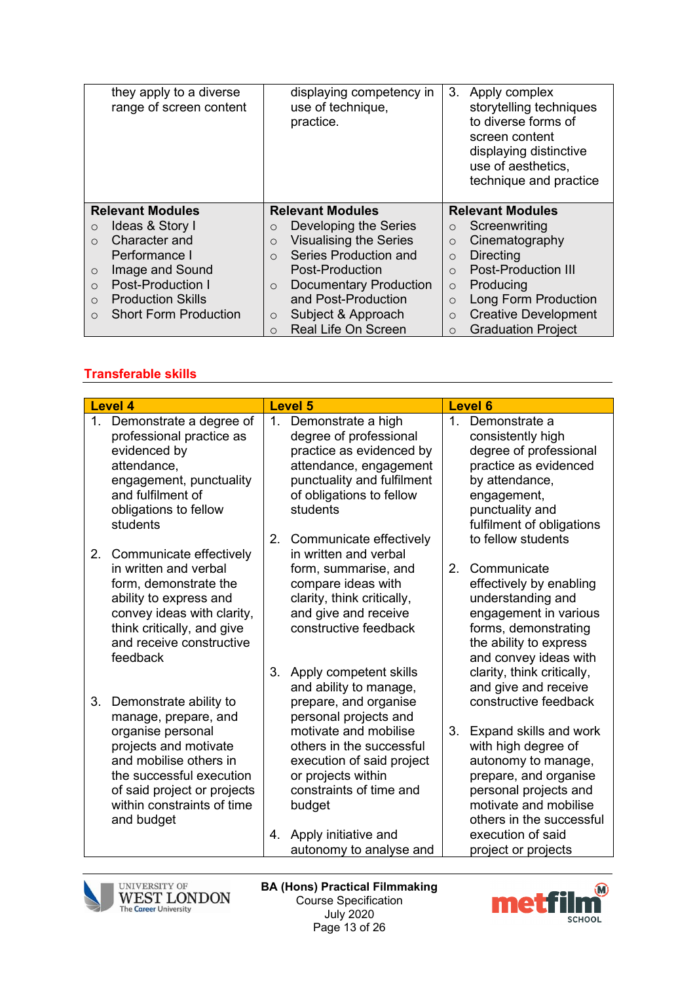| they apply to a diverse<br>range of screen content | displaying competency in<br>use of technique,<br>practice. | 3.<br>Apply complex<br>storytelling techniques<br>to diverse forms of<br>screen content<br>displaying distinctive<br>use of aesthetics.<br>technique and practice |  |  |
|----------------------------------------------------|------------------------------------------------------------|-------------------------------------------------------------------------------------------------------------------------------------------------------------------|--|--|
| <b>Relevant Modules</b>                            | <b>Relevant Modules</b>                                    | <b>Relevant Modules</b>                                                                                                                                           |  |  |
| Ideas & Story I<br>$\circ$                         | Developing the Series<br>$\circ$                           | Screenwriting<br>$\circ$                                                                                                                                          |  |  |
| Character and<br>$\bigcirc$                        | <b>Visualising the Series</b><br>$\circ$                   | Cinematography<br>$\circ$                                                                                                                                         |  |  |
| Performance I                                      | Series Production and<br>$\cap$                            | Directing<br>$\Omega$                                                                                                                                             |  |  |
| Image and Sound<br>$\circ$                         | Post-Production                                            | <b>Post-Production III</b><br>$\Omega$                                                                                                                            |  |  |
| <b>Post-Production I</b><br>$\Omega$               | <b>Documentary Production</b><br>$\circ$                   | Producing<br>$\Omega$                                                                                                                                             |  |  |
| <b>Production Skills</b><br>$\bigcirc$             | and Post-Production                                        | Long Form Production<br>$\Omega$                                                                                                                                  |  |  |
| <b>Short Form Production</b><br>$\Omega$           | Subject & Approach<br>$\circ$                              | <b>Creative Development</b><br>$\Omega$                                                                                                                           |  |  |
|                                                    |                                                            |                                                                                                                                                                   |  |  |

# **Transferable skills**

| <b>Level 4</b>                                                                                                                                                                                                                      | <b>Level 5</b>                                                                                                                                                                                                                           | <b>Level 6</b>                                                                                                                                                                                                                          |  |  |
|-------------------------------------------------------------------------------------------------------------------------------------------------------------------------------------------------------------------------------------|------------------------------------------------------------------------------------------------------------------------------------------------------------------------------------------------------------------------------------------|-----------------------------------------------------------------------------------------------------------------------------------------------------------------------------------------------------------------------------------------|--|--|
| Demonstrate a degree of<br>1.<br>professional practice as<br>evidenced by<br>attendance,<br>engagement, punctuality<br>and fulfilment of<br>obligations to fellow<br>students<br>2.<br>Communicate effectively                      | Demonstrate a high<br>1.<br>degree of professional<br>practice as evidenced by<br>attendance, engagement<br>punctuality and fulfilment<br>of obligations to fellow<br>students<br>2.<br>Communicate effectively<br>in written and verbal | 1.<br>Demonstrate a<br>consistently high<br>degree of professional<br>practice as evidenced<br>by attendance,<br>engagement,<br>punctuality and<br>fulfilment of obligations<br>to fellow students                                      |  |  |
| in written and verbal<br>form, demonstrate the<br>ability to express and<br>convey ideas with clarity,<br>think critically, and give<br>and receive constructive<br>feedback                                                        | form, summarise, and<br>compare ideas with<br>clarity, think critically,<br>and give and receive<br>constructive feedback<br>Apply competent skills<br>3.<br>and ability to manage,                                                      | 2 <sub>1</sub><br>Communicate<br>effectively by enabling<br>understanding and<br>engagement in various<br>forms, demonstrating<br>the ability to express<br>and convey ideas with<br>clarity, think critically,<br>and give and receive |  |  |
| 3.<br>Demonstrate ability to<br>manage, prepare, and<br>organise personal<br>projects and motivate<br>and mobilise others in<br>the successful execution<br>of said project or projects<br>within constraints of time<br>and budget | prepare, and organise<br>personal projects and<br>motivate and mobilise<br>others in the successful<br>execution of said project<br>or projects within<br>constraints of time and<br>budget                                              | constructive feedback<br>3.<br>Expand skills and work<br>with high degree of<br>autonomy to manage,<br>prepare, and organise<br>personal projects and<br>motivate and mobilise<br>others in the successful                              |  |  |
|                                                                                                                                                                                                                                     | Apply initiative and<br>4.<br>autonomy to analyse and                                                                                                                                                                                    | execution of said<br>project or projects                                                                                                                                                                                                |  |  |



**BA (Hons) Practical Filmmaking** Course Specification July 2020 Page 13 of 26

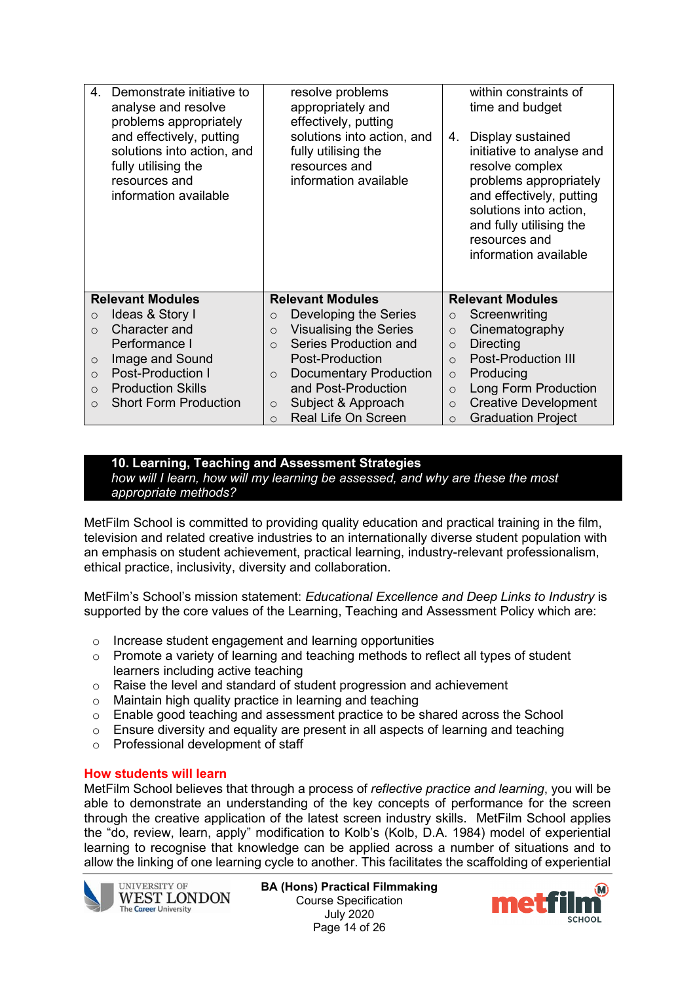| 4<br>Demonstrate initiative to<br>analyse and resolve<br>problems appropriately<br>and effectively, putting<br>solutions into action, and<br>fully utilising the<br>resources and<br>information available |          | resolve problems<br>appropriately and<br>effectively, putting<br>solutions into action, and<br>4.<br>fully utilising the<br>resources and<br>information available |          | within constraints of<br>time and budget<br>Display sustained<br>initiative to analyse and<br>resolve complex<br>problems appropriately<br>and effectively, putting<br>solutions into action,<br>and fully utilising the<br>resources and<br>information available |
|------------------------------------------------------------------------------------------------------------------------------------------------------------------------------------------------------------|----------|--------------------------------------------------------------------------------------------------------------------------------------------------------------------|----------|--------------------------------------------------------------------------------------------------------------------------------------------------------------------------------------------------------------------------------------------------------------------|
| <b>Relevant Modules</b>                                                                                                                                                                                    |          | <b>Relevant Modules</b>                                                                                                                                            |          | <b>Relevant Modules</b>                                                                                                                                                                                                                                            |
| Ideas & Story I<br>$\circ$                                                                                                                                                                                 | $\circ$  | Developing the Series                                                                                                                                              | $\circ$  | Screenwriting                                                                                                                                                                                                                                                      |
| Character and<br>$\Omega$                                                                                                                                                                                  | $\circ$  | <b>Visualising the Series</b>                                                                                                                                      | $\circ$  | Cinematography                                                                                                                                                                                                                                                     |
| Performance I                                                                                                                                                                                              | $\Omega$ | Series Production and                                                                                                                                              | $\circ$  | <b>Directing</b>                                                                                                                                                                                                                                                   |
| Image and Sound<br>$\circ$                                                                                                                                                                                 |          | Post-Production                                                                                                                                                    | $\Omega$ | <b>Post-Production III</b>                                                                                                                                                                                                                                         |
| <b>Post-Production I</b><br>$\Omega$                                                                                                                                                                       | $\circ$  | <b>Documentary Production</b>                                                                                                                                      | $\circ$  | Producing                                                                                                                                                                                                                                                          |
| <b>Production Skills</b><br>$\circ$                                                                                                                                                                        |          | and Post-Production                                                                                                                                                | $\circ$  | <b>Long Form Production</b>                                                                                                                                                                                                                                        |
| <b>Short Form Production</b><br>$\Omega$                                                                                                                                                                   | $\circ$  | Subject & Approach                                                                                                                                                 | $\circ$  | <b>Creative Development</b>                                                                                                                                                                                                                                        |
|                                                                                                                                                                                                            | $\Omega$ | Real Life On Screen                                                                                                                                                | $\circ$  | <b>Graduation Project</b>                                                                                                                                                                                                                                          |

#### **10. Learning, Teaching and Assessment Strategies** *how will I learn, how will my learning be assessed, and why are these the most appropriate methods?*

MetFilm School is committed to providing quality education and practical training in the film, television and related creative industries to an internationally diverse student population with an emphasis on student achievement, practical learning, industry-relevant professionalism, ethical practice, inclusivity, diversity and collaboration.

MetFilm's School's mission statement: *Educational Excellence and Deep Links to Industry* is supported by the core values of the Learning, Teaching and Assessment Policy which are:

- o Increase student engagement and learning opportunities
- $\circ$  Promote a variety of learning and teaching methods to reflect all types of student learners including active teaching
- o Raise the level and standard of student progression and achievement
- o Maintain high quality practice in learning and teaching
- $\circ$  Enable good teaching and assessment practice to be shared across the School
- $\circ$  Ensure diversity and equality are present in all aspects of learning and teaching
- o Professional development of staff

#### **How students will learn**

MetFilm School believes that through a process of *reflective practice and learning*, you will be able to demonstrate an understanding of the key concepts of performance for the screen through the creative application of the latest screen industry skills. MetFilm School applies the "do, review, learn, apply" modification to Kolb's (Kolb, D.A. 1984) model of experiential learning to recognise that knowledge can be applied across a number of situations and to allow the linking of one learning cycle to another. This facilitates the scaffolding of experiential



**BA (Hons) Practical Filmmaking** Course Specification July 2020 Page 14 of 26

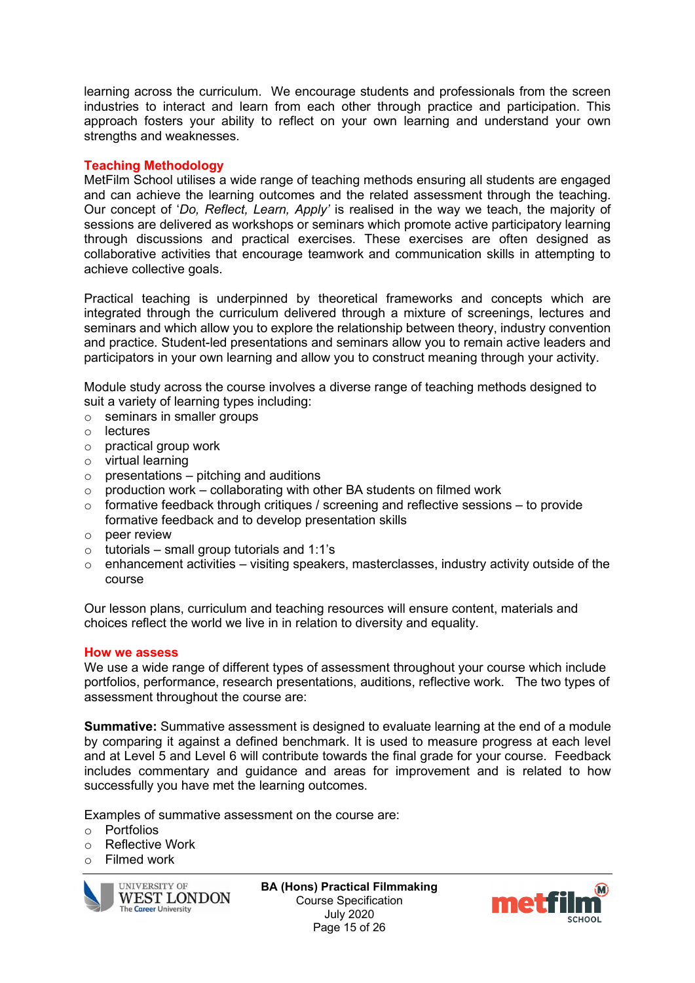learning across the curriculum. We encourage students and professionals from the screen industries to interact and learn from each other through practice and participation. This approach fosters your ability to reflect on your own learning and understand your own strengths and weaknesses.

### **Teaching Methodology**

MetFilm School utilises a wide range of teaching methods ensuring all students are engaged and can achieve the learning outcomes and the related assessment through the teaching. Our concept of '*Do, Reflect, Learn, Apply'* is realised in the way we teach, the majority of sessions are delivered as workshops or seminars which promote active participatory learning through discussions and practical exercises. These exercises are often designed as collaborative activities that encourage teamwork and communication skills in attempting to achieve collective goals.

Practical teaching is underpinned by theoretical frameworks and concepts which are integrated through the curriculum delivered through a mixture of screenings, lectures and seminars and which allow you to explore the relationship between theory, industry convention and practice. Student-led presentations and seminars allow you to remain active leaders and participators in your own learning and allow you to construct meaning through your activity.

Module study across the course involves a diverse range of teaching methods designed to suit a variety of learning types including:

- $\circ$  seminars in smaller groups
- o lectures
- o practical group work
- o virtual learning
- $\circ$  presentations pitching and auditions
- $\circ$  production work collaborating with other BA students on filmed work
- $\circ$  formative feedback through critiques / screening and reflective sessions to provide formative feedback and to develop presentation skills
- o peer review
- $\circ$  tutorials small group tutorials and 1:1's
- $\circ$  enhancement activities visiting speakers, masterclasses, industry activity outside of the course

Our lesson plans, curriculum and teaching resources will ensure content, materials and choices reflect the world we live in in relation to diversity and equality.

#### **How we assess**

We use a wide range of different types of assessment throughout your course which include portfolios, performance, research presentations, auditions, reflective work. The two types of assessment throughout the course are:

**Summative:** Summative assessment is designed to evaluate learning at the end of a module by comparing it against a defined benchmark. It is used to measure progress at each level and at Level 5 and Level 6 will contribute towards the final grade for your course. Feedback includes commentary and guidance and areas for improvement and is related to how successfully you have met the learning outcomes.

Examples of summative assessment on the course are:

- o Portfolios
- o Reflective Work
- o Filmed work



**BA (Hons) Practical Filmmaking** Course Specification July 2020 Page 15 of 26

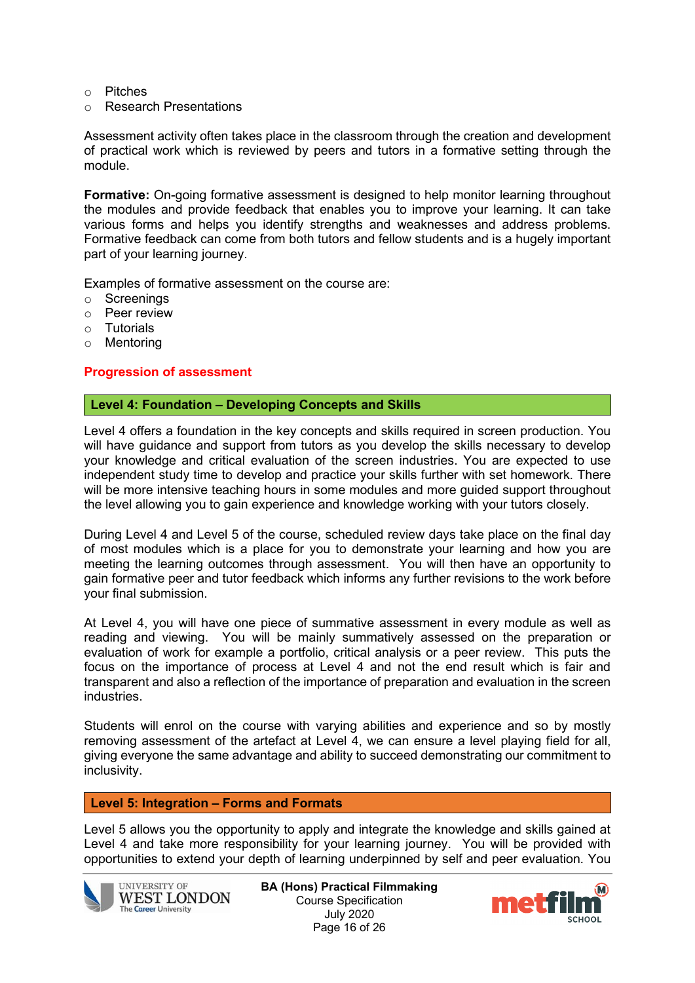- o Pitches
- o Research Presentations

Assessment activity often takes place in the classroom through the creation and development of practical work which is reviewed by peers and tutors in a formative setting through the module.

**Formative:** On-going formative assessment is designed to help monitor learning throughout the modules and provide feedback that enables you to improve your learning. It can take various forms and helps you identify strengths and weaknesses and address problems. Formative feedback can come from both tutors and fellow students and is a hugely important part of your learning journey.

Examples of formative assessment on the course are:

- o Screenings
- o Peer review
- o Tutorials
- o Mentoring

#### **Progression of assessment**

#### **Level 4: Foundation – Developing Concepts and Skills**

Level 4 offers a foundation in the key concepts and skills required in screen production. You will have guidance and support from tutors as you develop the skills necessary to develop your knowledge and critical evaluation of the screen industries. You are expected to use independent study time to develop and practice your skills further with set homework. There will be more intensive teaching hours in some modules and more guided support throughout the level allowing you to gain experience and knowledge working with your tutors closely.

During Level 4 and Level 5 of the course, scheduled review days take place on the final day of most modules which is a place for you to demonstrate your learning and how you are meeting the learning outcomes through assessment. You will then have an opportunity to gain formative peer and tutor feedback which informs any further revisions to the work before your final submission.

At Level 4, you will have one piece of summative assessment in every module as well as reading and viewing. You will be mainly summatively assessed on the preparation or evaluation of work for example a portfolio, critical analysis or a peer review. This puts the focus on the importance of process at Level 4 and not the end result which is fair and transparent and also a reflection of the importance of preparation and evaluation in the screen industries.

Students will enrol on the course with varying abilities and experience and so by mostly removing assessment of the artefact at Level 4, we can ensure a level playing field for all, giving everyone the same advantage and ability to succeed demonstrating our commitment to inclusivity.

#### **Level 5: Integration – Forms and Formats**

Level 5 allows you the opportunity to apply and integrate the knowledge and skills gained at Level 4 and take more responsibility for your learning journey. You will be provided with opportunities to extend your depth of learning underpinned by self and peer evaluation. You



**BA (Hons) Practical Filmmaking** Course Specification July 2020 Page 16 of 26

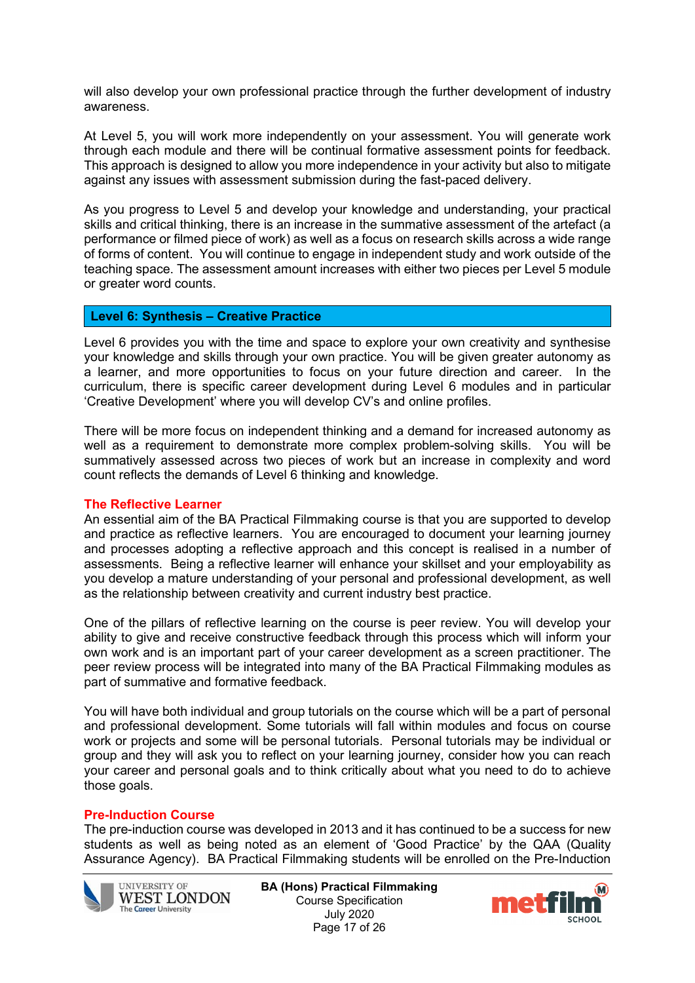will also develop your own professional practice through the further development of industry awareness.

At Level 5, you will work more independently on your assessment. You will generate work through each module and there will be continual formative assessment points for feedback. This approach is designed to allow you more independence in your activity but also to mitigate against any issues with assessment submission during the fast-paced delivery.

As you progress to Level 5 and develop your knowledge and understanding, your practical skills and critical thinking, there is an increase in the summative assessment of the artefact (a performance or filmed piece of work) as well as a focus on research skills across a wide range of forms of content. You will continue to engage in independent study and work outside of the teaching space. The assessment amount increases with either two pieces per Level 5 module or greater word counts.

### **Level 6: Synthesis – Creative Practice**

Level 6 provides you with the time and space to explore your own creativity and synthesise your knowledge and skills through your own practice. You will be given greater autonomy as a learner, and more opportunities to focus on your future direction and career. In the curriculum, there is specific career development during Level 6 modules and in particular 'Creative Development' where you will develop CV's and online profiles.

There will be more focus on independent thinking and a demand for increased autonomy as well as a requirement to demonstrate more complex problem-solving skills. You will be summatively assessed across two pieces of work but an increase in complexity and word count reflects the demands of Level 6 thinking and knowledge.

#### **The Reflective Learner**

An essential aim of the BA Practical Filmmaking course is that you are supported to develop and practice as reflective learners. You are encouraged to document your learning journey and processes adopting a reflective approach and this concept is realised in a number of assessments. Being a reflective learner will enhance your skillset and your employability as you develop a mature understanding of your personal and professional development, as well as the relationship between creativity and current industry best practice.

One of the pillars of reflective learning on the course is peer review. You will develop your ability to give and receive constructive feedback through this process which will inform your own work and is an important part of your career development as a screen practitioner. The peer review process will be integrated into many of the BA Practical Filmmaking modules as part of summative and formative feedback.

You will have both individual and group tutorials on the course which will be a part of personal and professional development. Some tutorials will fall within modules and focus on course work or projects and some will be personal tutorials. Personal tutorials may be individual or group and they will ask you to reflect on your learning journey, consider how you can reach your career and personal goals and to think critically about what you need to do to achieve those goals.

## **Pre-Induction Course**

The pre-induction course was developed in 2013 and it has continued to be a success for new students as well as being noted as an element of 'Good Practice' by the QAA (Quality Assurance Agency). BA Practical Filmmaking students will be enrolled on the Pre-Induction



**BA (Hons) Practical Filmmaking** Course Specification July 2020 Page 17 of 26

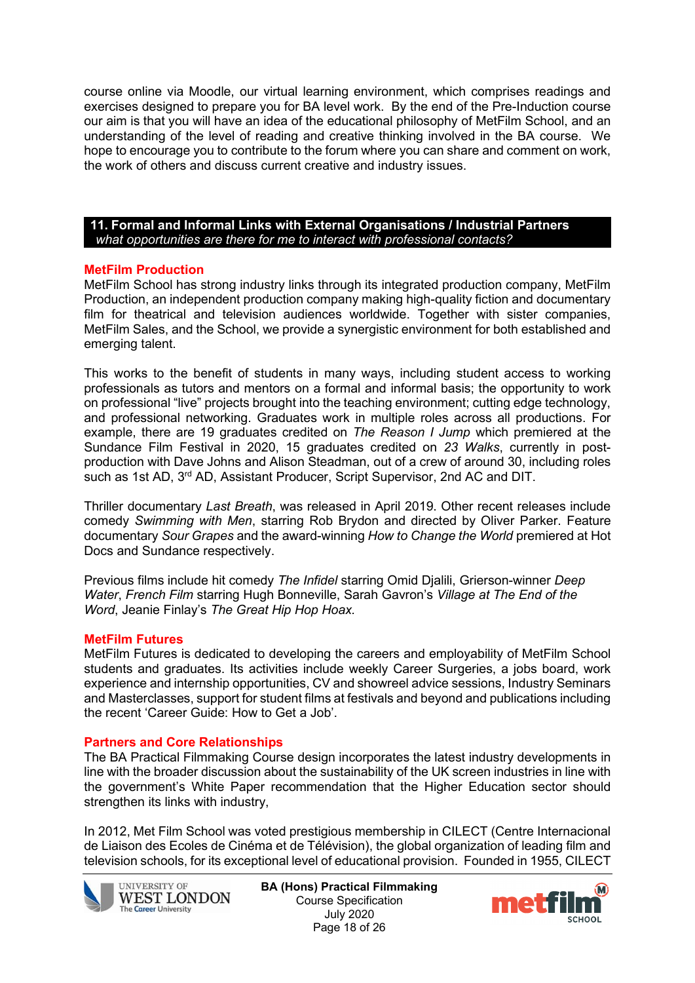course online via Moodle, our virtual learning environment, which comprises readings and exercises designed to prepare you for BA level work. By the end of the Pre-Induction course our aim is that you will have an idea of the educational philosophy of MetFilm School, and an understanding of the level of reading and creative thinking involved in the BA course. We hope to encourage you to contribute to the forum where you can share and comment on work, the work of others and discuss current creative and industry issues.

**11. Formal and Informal Links with External Organisations / Industrial Partners** *what opportunities are there for me to interact with professional contacts?*

### **MetFilm Production**

MetFilm School has strong industry links through its integrated production company, MetFilm Production, an independent production company making high-quality fiction and documentary film for theatrical and television audiences worldwide. Together with sister companies, MetFilm Sales, and the School, we provide a synergistic environment for both established and emerging talent.

This works to the benefit of students in many ways, including student access to working professionals as tutors and mentors on a formal and informal basis; the opportunity to work on professional "live" projects brought into the teaching environment; cutting edge technology, and professional networking. Graduates work in multiple roles across all productions. For example, there are 19 graduates credited on *The Reason I Jump* which premiered at the Sundance Film Festival in 2020, 15 graduates credited on *23 Walks*, currently in postproduction with Dave Johns and Alison Steadman, out of a crew of around 30, including roles such as 1st AD, 3<sup>rd</sup> AD, Assistant Producer, Script Supervisor, 2nd AC and DIT.

Thriller documentary *Last Breath*, was released in April 2019. Other recent releases include comedy *Swimming with Men*, starring Rob Brydon and directed by Oliver Parker. Feature documentary *Sour Grapes* and the award-winning *How to Change the World* premiered at Hot Docs and Sundance respectively.

Previous films include hit comedy *The Infidel* starring Omid Djalili, Grierson-winner *Deep Water*, *French Film* starring Hugh Bonneville, Sarah Gavron's *Village at The End of the Word*, Jeanie Finlay's *The Great Hip Hop Hoax.*

#### **MetFilm Futures**

MetFilm Futures is dedicated to developing the careers and employability of MetFilm School students and graduates. Its activities include weekly Career Surgeries, a jobs board, work experience and internship opportunities, CV and showreel advice sessions, Industry Seminars and Masterclasses, support for student films at festivals and beyond and publications including the recent 'Career Guide: How to Get a Job'.

#### **Partners and Core Relationships**

The BA Practical Filmmaking Course design incorporates the latest industry developments in line with the broader discussion about the sustainability of the UK screen industries in line with the government's White Paper recommendation that the Higher Education sector should strengthen its links with industry,

In 2012, Met Film School was voted prestigious membership in CILECT (Centre Internacional de Liaison des Ecoles de Cinéma et de Télévision), the global organization of leading film and television schools, for its exceptional level of educational provision. Founded in 1955, CILECT



**BA (Hons) Practical Filmmaking** Course Specification July 2020 Page 18 of 26

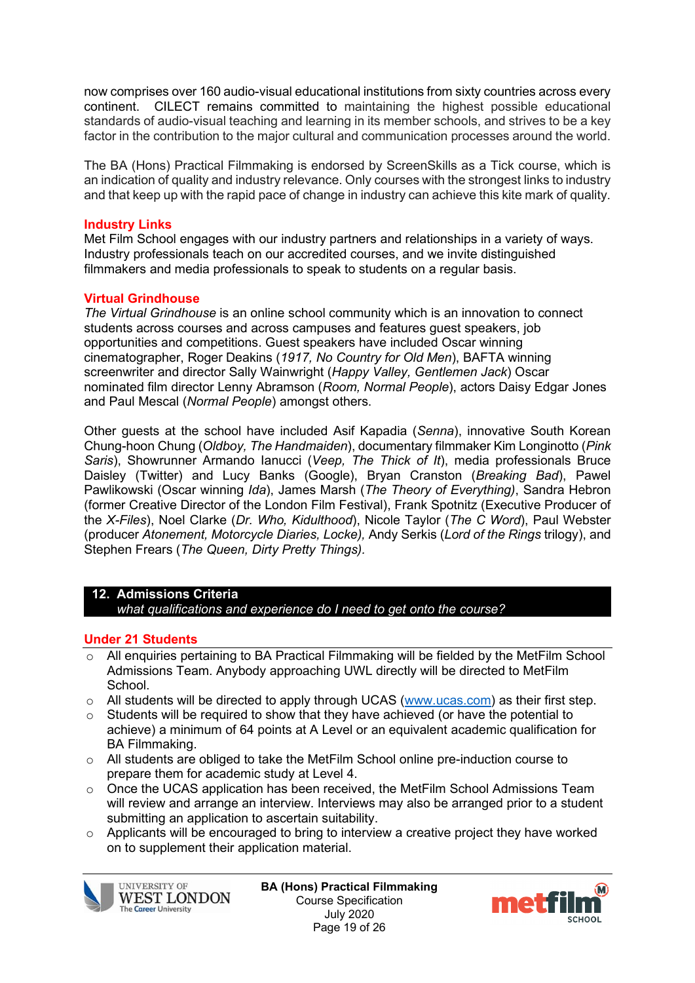now comprises over 160 audio-visual educational institutions from sixty countries across every continent. CILECT remains committed to maintaining the highest possible educational standards of audio-visual teaching and learning in its member schools, and strives to be a key factor in the contribution to the major cultural and communication processes around the world.

The BA (Hons) Practical Filmmaking is endorsed by ScreenSkills as a Tick course, which is an indication of quality and industry relevance. Only courses with the strongest links to industry and that keep up with the rapid pace of change in industry can achieve this kite mark of quality.

### **Industry Links**

Met Film School engages with our industry partners and relationships in a variety of ways. Industry professionals teach on our accredited courses, and we invite distinguished filmmakers and media professionals to speak to students on a regular basis.

## **Virtual Grindhouse**

*The Virtual Grindhouse* is an online school community which is an innovation to connect students across courses and across campuses and features guest speakers, job opportunities and competitions. Guest speakers have included Oscar winning cinematographer, Roger Deakins (*1917, No Country for Old Men*), BAFTA winning screenwriter and director Sally Wainwright (*Happy Valley, Gentlemen Jack*) Oscar nominated film director Lenny Abramson (*Room, Normal People*), actors Daisy Edgar Jones and Paul Mescal (*Normal People*) amongst others.

Other guests at the school have included Asif Kapadia (*Senna*), innovative South Korean Chung-hoon Chung (*Oldboy, The Handmaiden*), documentary filmmaker Kim Longinotto (*Pink Saris*), Showrunner Armando Ianucci (*Veep, The Thick of It*), media professionals Bruce Daisley (Twitter) and Lucy Banks (Google), Bryan Cranston (*Breaking Bad*), Pawel Pawlikowski (Oscar winning *Ida*), James Marsh (*The Theory of Everything)*, Sandra Hebron (former Creative Director of the London Film Festival), Frank Spotnitz (Executive Producer of the *X-Files*), Noel Clarke (*Dr. Who, Kidulthood*), Nicole Taylor (*The C Word*), Paul Webster (producer *Atonement, Motorcycle Diaries, Locke),* Andy Serkis (*Lord of the Rings* trilogy), and Stephen Frears (*The Queen, Dirty Pretty Things).*

## **12. Admissions Criteria**

*what qualifications and experience do I need to get onto the course?*

## **Under 21 Students**

- o All enquiries pertaining to BA Practical Filmmaking will be fielded by the MetFilm School Admissions Team. Anybody approaching UWL directly will be directed to MetFilm **School**
- $\circ$  All students will be directed to apply through UCAS [\(www.ucas.com\)](http://www.ucas.com/) as their first step.
- $\circ$  Students will be required to show that they have achieved (or have the potential to achieve) a minimum of 64 points at A Level or an equivalent academic qualification for BA Filmmaking.
- o All students are obliged to take the MetFilm School online pre-induction course to prepare them for academic study at Level 4.
- $\circ$  Once the UCAS application has been received, the MetFilm School Admissions Team will review and arrange an interview. Interviews may also be arranged prior to a student submitting an application to ascertain suitability.
- o Applicants will be encouraged to bring to interview a creative project they have worked on to supplement their application material.



**BA (Hons) Practical Filmmaking** Course Specification July 2020 Page 19 of 26

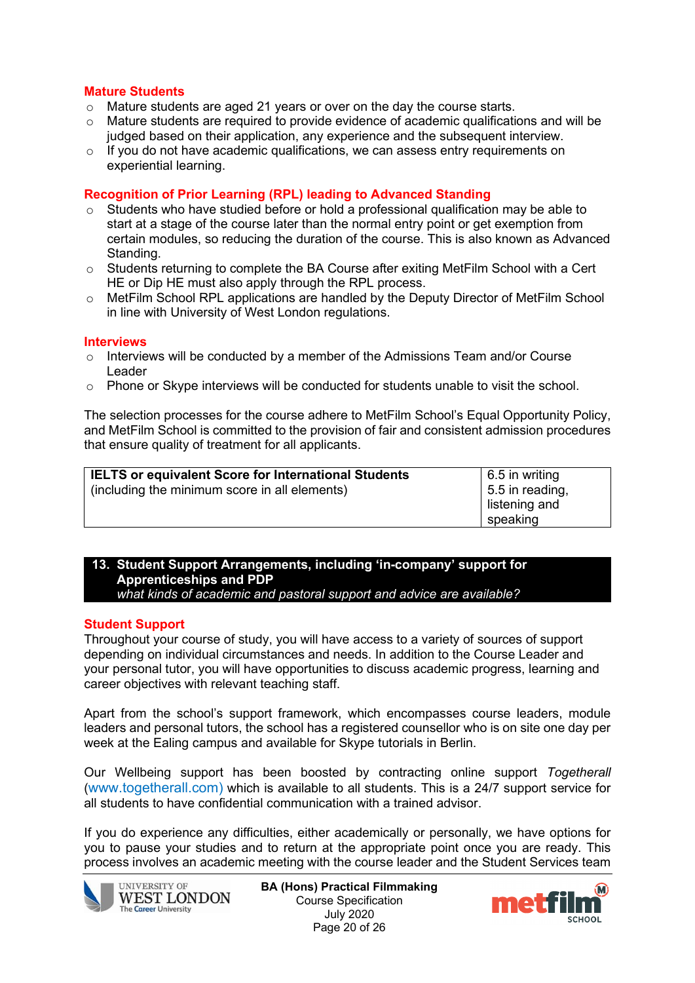### **Mature Students**

- 
- $\circ$  Mature students are aged 21 years or over on the day the course starts.<br>  $\circ$  Mature students are required to provide evidence of academic qualificati Mature students are required to provide evidence of academic qualifications and will be judged based on their application, any experience and the subsequent interview.
- $\circ$  If you do not have academic qualifications, we can assess entry requirements on experiential learning.

#### **Recognition of Prior Learning (RPL) leading to Advanced Standing**

- $\circ$  Students who have studied before or hold a professional qualification may be able to start at a stage of the course later than the normal entry point or get exemption from certain modules, so reducing the duration of the course. This is also known as Advanced Standing.
- o Students returning to complete the BA Course after exiting MetFilm School with a Cert HE or Dip HE must also apply through the RPL process.
- $\circ$  MetFilm School RPL applications are handled by the Deputy Director of MetFilm School in line with University of West London regulations.

#### **Interviews**

- o Interviews will be conducted by a member of the Admissions Team and/or Course Leader
- $\circ$  Phone or Skype interviews will be conducted for students unable to visit the school.

The selection processes for the course adhere to MetFilm School's Equal Opportunity Policy, and MetFilm School is committed to the provision of fair and consistent admission procedures that ensure quality of treatment for all applicants.

| <b>IELTS or equivalent Score for International Students</b> | $6.5$ in writing        |
|-------------------------------------------------------------|-------------------------|
| (including the minimum score in all elements)               | $\vert$ 5.5 in reading, |
|                                                             | listening and           |
|                                                             | speaking                |

#### **13. Student Support Arrangements, including 'in-company' support for Apprenticeships and PDP** *what kinds of academic and pastoral support and advice are available?*

#### **Student Support**

Throughout your course of study, you will have access to a variety of sources of support depending on individual circumstances and needs. In addition to the Course Leader and your personal tutor, you will have opportunities to discuss academic progress, learning and career objectives with relevant teaching staff.

Apart from the school's support framework, which encompasses course leaders, module leaders and personal tutors, the school has a registered counsellor who is on site one day per week at the Ealing campus and available for Skype tutorials in Berlin.

Our Wellbeing support has been boosted by contracting online support *Togetherall* (www.togetherall.com) which is available to all students. This is a 24/7 support service for all students to have confidential communication with a trained advisor.

If you do experience any difficulties, either academically or personally, we have options for you to pause your studies and to return at the appropriate point once you are ready. This process involves an academic meeting with the course leader and the Student Services team



**BA (Hons) Practical Filmmaking** Course Specification July 2020 Page 20 of 26

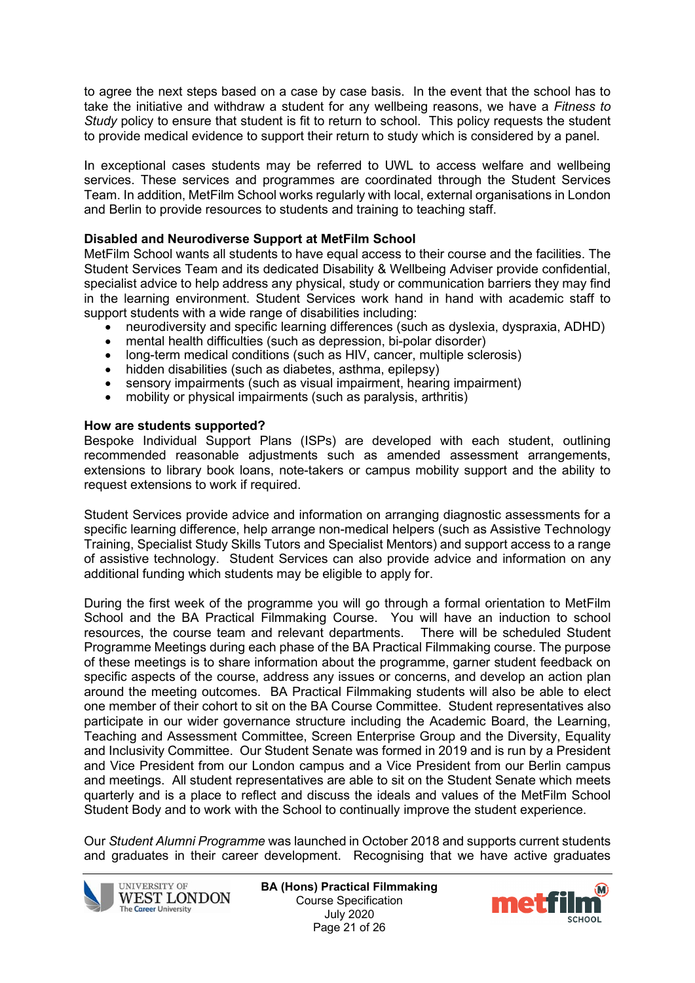to agree the next steps based on a case by case basis. In the event that the school has to take the initiative and withdraw a student for any wellbeing reasons, we have a *Fitness to Study* policy to ensure that student is fit to return to school. This policy requests the student to provide medical evidence to support their return to study which is considered by a panel.

In exceptional cases students may be referred to UWL to access welfare and wellbeing services. These services and programmes are coordinated through the Student Services Team. In addition, MetFilm School works regularly with local, external organisations in London and Berlin to provide resources to students and training to teaching staff.

### **Disabled and Neurodiverse Support at MetFilm School**

MetFilm School wants all students to have equal access to their course and the facilities. The Student Services Team and its dedicated Disability & Wellbeing Adviser provide confidential, specialist advice to help address any physical, study or communication barriers they may find in the learning environment. Student Services work hand in hand with academic staff to support students with a wide range of disabilities including:

- neurodiversity and specific learning differences (such as dyslexia, dyspraxia, ADHD)
- mental health difficulties (such as depression, bi-polar disorder)
- long-term medical conditions (such as HIV, cancer, multiple sclerosis)
- hidden disabilities (such as diabetes, asthma, epilepsy)
- sensory impairments (such as visual impairment, hearing impairment)
- mobility or physical impairments (such as paralysis, arthritis)

#### **How are students supported?**

Bespoke Individual Support Plans (ISPs) are developed with each student, outlining recommended reasonable adjustments such as amended assessment arrangements, extensions to library book loans, note-takers or campus mobility support and the ability to request extensions to work if required.

Student Services provide advice and information on arranging diagnostic assessments for a specific learning difference, help arrange non-medical helpers (such as Assistive Technology Training, Specialist Study Skills Tutors and Specialist Mentors) and support access to a range of assistive technology. Student Services can also provide advice and information on any additional funding which students may be eligible to apply for.

During the first week of the programme you will go through a formal orientation to MetFilm School and the BA Practical Filmmaking Course. You will have an induction to school resources, the course team and relevant departments. There will be scheduled Student Programme Meetings during each phase of the BA Practical Filmmaking course. The purpose of these meetings is to share information about the programme, garner student feedback on specific aspects of the course, address any issues or concerns, and develop an action plan around the meeting outcomes. BA Practical Filmmaking students will also be able to elect one member of their cohort to sit on the BA Course Committee. Student representatives also participate in our wider governance structure including the Academic Board, the Learning, Teaching and Assessment Committee, Screen Enterprise Group and the Diversity, Equality and Inclusivity Committee. Our Student Senate was formed in 2019 and is run by a President and Vice President from our London campus and a Vice President from our Berlin campus and meetings. All student representatives are able to sit on the Student Senate which meets quarterly and is a place to reflect and discuss the ideals and values of the MetFilm School Student Body and to work with the School to continually improve the student experience.

Our *Student Alumni Programme* was launched in October 2018 and supports current students and graduates in their career development. Recognising that we have active graduates



**BA (Hons) Practical Filmmaking** Course Specification July 2020 Page 21 of 26

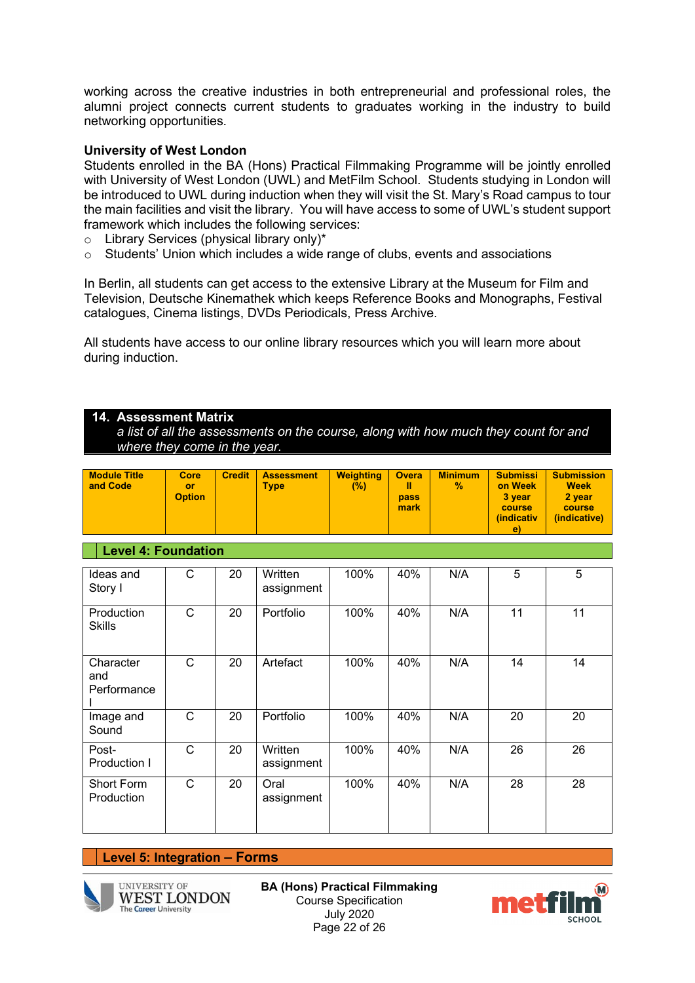working across the creative industries in both entrepreneurial and professional roles, the alumni project connects current students to graduates working in the industry to build networking opportunities.

#### **University of West London**

Students enrolled in the BA (Hons) Practical Filmmaking Programme will be jointly enrolled with University of West London (UWL) and MetFilm School. Students studying in London will be introduced to UWL during induction when they will visit the St. Mary's Road campus to tour the main facilities and visit the library. You will have access to some of UWL's student support framework which includes the following services:

- $\circ$  Library Services (physical library only)\*<br>  $\circ$  Students' Union which includes a wide
- Students' Union which includes a wide range of clubs, events and associations

In Berlin, all students can get access to the extensive Library at the Museum for Film and Television, Deutsche Kinemathek which keeps Reference Books and Monographs, Festival catalogues, Cinema listings, DVDs Periodicals, Press Archive.

All students have access to our online library resources which you will learn more about during induction.

### **14. Assessment Matrix**

*a list of all the assessments on the course, along with how much they count for and where they come in the year.*

| <b>Module Title</b><br>and Code | Core<br>or<br><b>Option</b> | <b>Credit</b> | <b>Assessment</b><br><b>Type</b> | <b>Weighting</b><br>$(\%)$ | <b>Overa</b><br>Ш<br>pass<br>mark | <b>Minimum</b><br>$\%$ | <b>Submissi</b><br>on Week<br>3 year<br>course<br><i>(indicativ</i><br>e) | <b>Submission</b><br><b>Week</b><br>2 year<br>course<br>(indicative) |  |
|---------------------------------|-----------------------------|---------------|----------------------------------|----------------------------|-----------------------------------|------------------------|---------------------------------------------------------------------------|----------------------------------------------------------------------|--|
| <b>Level 4: Foundation</b>      |                             |               |                                  |                            |                                   |                        |                                                                           |                                                                      |  |
| Ideas and<br>StonnI             | С                           | 20            | Written<br>accianmont            | 100%                       | 40%                               | N/A                    | 5                                                                         | 5                                                                    |  |

| Ideas and<br>Story I            | С | 20 | Written<br>assignment | 100% | 40% | N/A | 5  | 5  |
|---------------------------------|---|----|-----------------------|------|-----|-----|----|----|
| Production<br><b>Skills</b>     | C | 20 | Portfolio             | 100% | 40% | N/A | 11 | 11 |
| Character<br>and<br>Performance | C | 20 | Artefact              | 100% | 40% | N/A | 14 | 14 |
| Image and<br>Sound              | С | 20 | Portfolio             | 100% | 40% | N/A | 20 | 20 |
| Post-<br>Production I           | C | 20 | Written<br>assignment | 100% | 40% | N/A | 26 | 26 |
| Short Form<br>Production        | C | 20 | Oral<br>assignment    | 100% | 40% | N/A | 28 | 28 |

#### **Level 5: Integration – Forms**



**UNIVERSITY OF WEST LONDON The Career University** 

**BA (Hons) Practical Filmmaking** Course Specification July 2020 Page 22 of 26

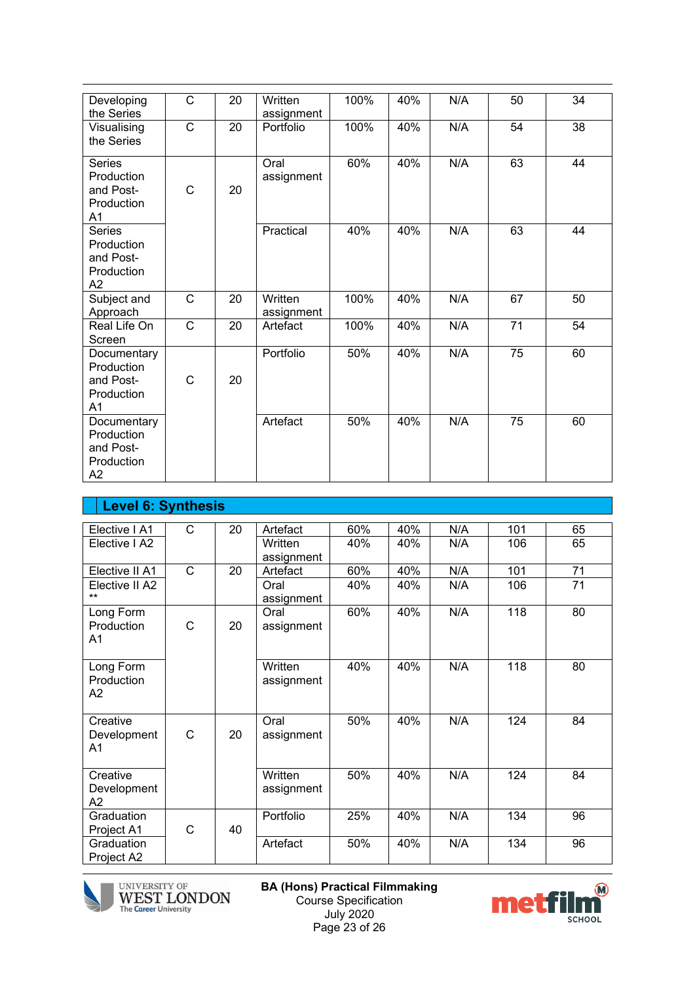| Developing<br>the Series                                               | C                     | 20 | Written<br>assignment | 100% | 40% | N/A | 50              | 34 |
|------------------------------------------------------------------------|-----------------------|----|-----------------------|------|-----|-----|-----------------|----|
| Visualising<br>the Series                                              | $\mathsf{C}$          | 20 | Portfolio             | 100% | 40% | N/A | 54              | 38 |
| <b>Series</b><br>Production<br>and Post-<br>Production<br>A1           | C                     | 20 | Oral<br>assignment    | 60%  | 40% | N/A | 63              | 44 |
| Series<br>Production<br>and Post-<br>Production<br>A2                  |                       |    | Practical             | 40%  | 40% | N/A | 63              | 44 |
| Subject and<br>Approach                                                | $\mathsf{C}$          | 20 | Written<br>assignment | 100% | 40% | N/A | 67              | 50 |
| Real Life On<br>Screen                                                 | $\overline{\text{c}}$ | 20 | Artefact              | 100% | 40% | N/A | $\overline{71}$ | 54 |
| Documentary<br>Production<br>and Post-<br>Production<br>A <sub>1</sub> | $\mathsf{C}$          | 20 | Portfolio             | 50%  | 40% | N/A | 75              | 60 |
| Documentary<br>Production<br>and Post-<br>Production<br>A2             |                       |    | Artefact              | 50%  | 40% | N/A | 75              | 60 |

| <b>Level 6: Synthesis</b> |                |    |            |     |     |     |     |    |
|---------------------------|----------------|----|------------|-----|-----|-----|-----|----|
|                           |                |    |            |     |     |     |     |    |
| Elective I A1             | С              | 20 | Artefact   | 60% | 40% | N/A | 101 | 65 |
| Elective I A2             |                |    | Written    | 40% | 40% | N/A | 106 | 65 |
|                           |                |    | assignment |     |     |     |     |    |
| Elective II A1            | $\overline{C}$ | 20 | Artefact   | 60% | 40% | N/A | 101 | 71 |
| Elective II A2            |                |    | Oral       | 40% | 40% | N/A | 106 | 71 |
| $***$                     |                |    | assignment |     |     |     |     |    |
| Long Form                 |                |    | Oral       | 60% | 40% | N/A | 118 | 80 |
| Production                | C              | 20 | assignment |     |     |     |     |    |
| A1                        |                |    |            |     |     |     |     |    |
|                           |                |    |            |     |     |     |     |    |
| Long Form                 |                |    | Written    | 40% | 40% | N/A | 118 | 80 |
| Production                |                |    | assignment |     |     |     |     |    |
| A2                        |                |    |            |     |     |     |     |    |
|                           |                |    |            |     |     |     |     |    |
| Creative                  |                |    | Oral       | 50% | 40% | N/A | 124 | 84 |
| Development               | C              | 20 | assignment |     |     |     |     |    |
| A1                        |                |    |            |     |     |     |     |    |
|                           |                |    |            |     |     |     |     |    |
| Creative                  |                |    | Written    | 50% | 40% | N/A | 124 | 84 |
| Development               |                |    | assignment |     |     |     |     |    |
| A2                        |                |    |            |     |     |     |     |    |
| Graduation                |                |    | Portfolio  | 25% | 40% | N/A | 134 | 96 |
| Project A1                | C              | 40 |            |     |     |     |     |    |
| Graduation                |                |    | Artefact   | 50% | 40% | N/A | 134 | 96 |
| Project A2                |                |    |            |     |     |     |     |    |
|                           |                |    |            |     |     |     |     |    |



UNIVERSITY OF WEST LONDON The Career University

**BA (Hons) Practical Filmmaking** Course Specification July 2020 Page 23 of 26

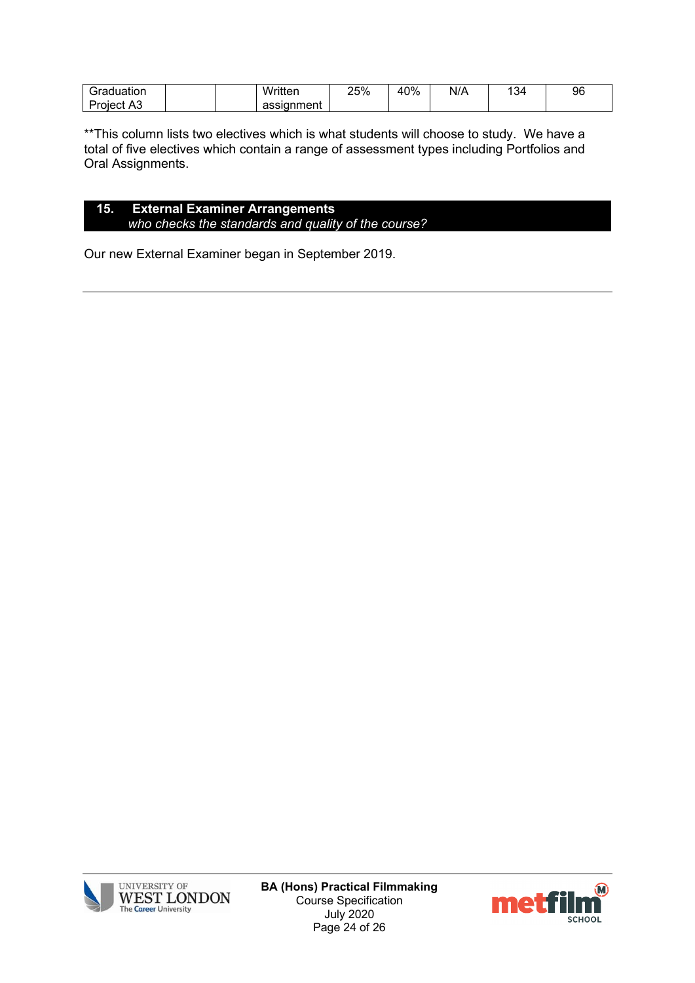| duation<br>$- - -$ | Written<br>піеі                                    | 25% | 40% | N/A<br>$\cdots$ | $\sim$<br>ື | 96 |
|--------------------|----------------------------------------------------|-----|-----|-----------------|-------------|----|
| nect<br>n          | $\sim$ $\sim$ $\sim$<br>SIL.<br>ּים<br>чени<br>ass |     |     |                 |             |    |

\*\*This column lists two electives which is what students will choose to study. We have a total of five electives which contain a range of assessment types including Portfolios and Oral Assignments.

#### **15. External Examiner Arrangements** *who checks the standards and quality of the course?*

Our new External Examiner began in September 2019.



**BA (Hons) Practical Filmmaking** Course Specification July 2020 Page 24 of 26

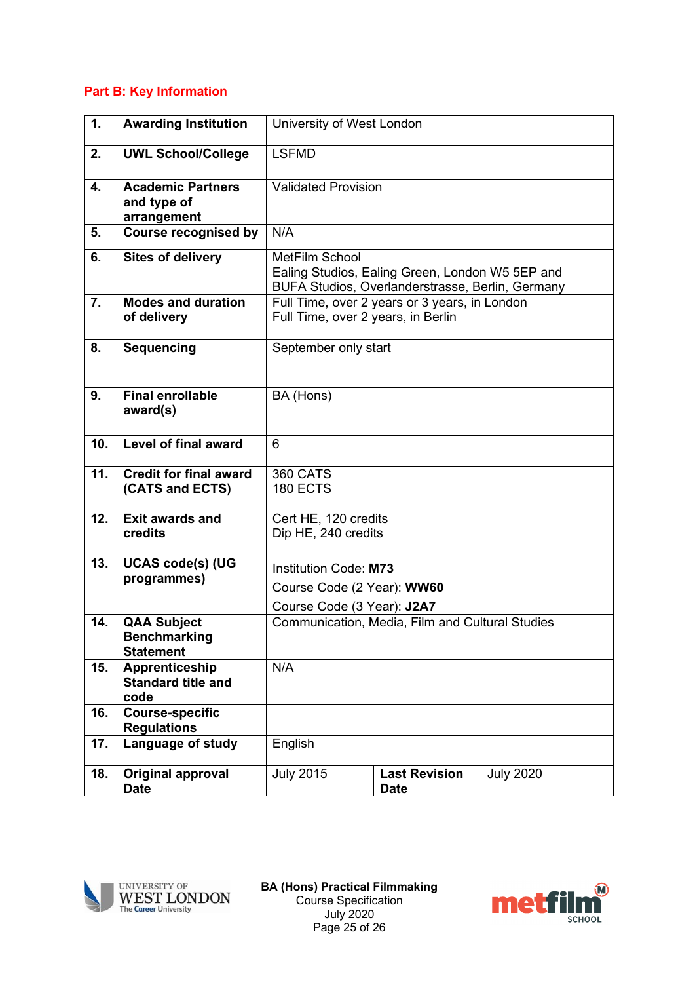## **Part B: Key Information**

| 1.  | <b>Awarding Institution</b>                                   | University of West London                                                                                             |                                                 |                  |  |  |
|-----|---------------------------------------------------------------|-----------------------------------------------------------------------------------------------------------------------|-------------------------------------------------|------------------|--|--|
| 2.  | <b>UWL School/College</b>                                     | <b>LSFMD</b>                                                                                                          |                                                 |                  |  |  |
| 4.  | <b>Academic Partners</b><br>and type of<br>arrangement        | <b>Validated Provision</b>                                                                                            |                                                 |                  |  |  |
| 5.  | <b>Course recognised by</b>                                   | N/A                                                                                                                   |                                                 |                  |  |  |
| 6.  | <b>Sites of delivery</b>                                      | MetFilm School<br>Ealing Studios, Ealing Green, London W5 5EP and<br>BUFA Studios, Overlanderstrasse, Berlin, Germany |                                                 |                  |  |  |
| 7.  | <b>Modes and duration</b><br>of delivery                      | Full Time, over 2 years or 3 years, in London<br>Full Time, over 2 years, in Berlin                                   |                                                 |                  |  |  |
| 8.  | <b>Sequencing</b>                                             | September only start                                                                                                  |                                                 |                  |  |  |
| 9.  | <b>Final enrollable</b><br>award(s)                           | BA (Hons)                                                                                                             |                                                 |                  |  |  |
| 10. | Level of final award                                          | 6                                                                                                                     |                                                 |                  |  |  |
| 11. | <b>Credit for final award</b><br>(CATS and ECTS)              |                                                                                                                       |                                                 |                  |  |  |
| 12. | <b>Exit awards and</b><br>credits                             | Cert HE, 120 credits<br>Dip HE, 240 credits                                                                           |                                                 |                  |  |  |
| 13. | <b>UCAS code(s) (UG</b><br>programmes)                        | Institution Code: M73<br>Course Code (2 Year): WW60<br>Course Code (3 Year): J2A7                                     |                                                 |                  |  |  |
| 14. | <b>QAA Subject</b><br><b>Benchmarking</b><br><b>Statement</b> |                                                                                                                       | Communication, Media, Film and Cultural Studies |                  |  |  |
| 15. | Apprenticeship<br><b>Standard title and</b><br>code           | N/A                                                                                                                   |                                                 |                  |  |  |
| 16. | <b>Course-specific</b><br><b>Regulations</b>                  |                                                                                                                       |                                                 |                  |  |  |
| 17. | Language of study                                             | English                                                                                                               |                                                 |                  |  |  |
| 18. | Original approval<br><b>Date</b>                              | <b>July 2015</b>                                                                                                      | <b>Last Revision</b><br><b>Date</b>             | <b>July 2020</b> |  |  |